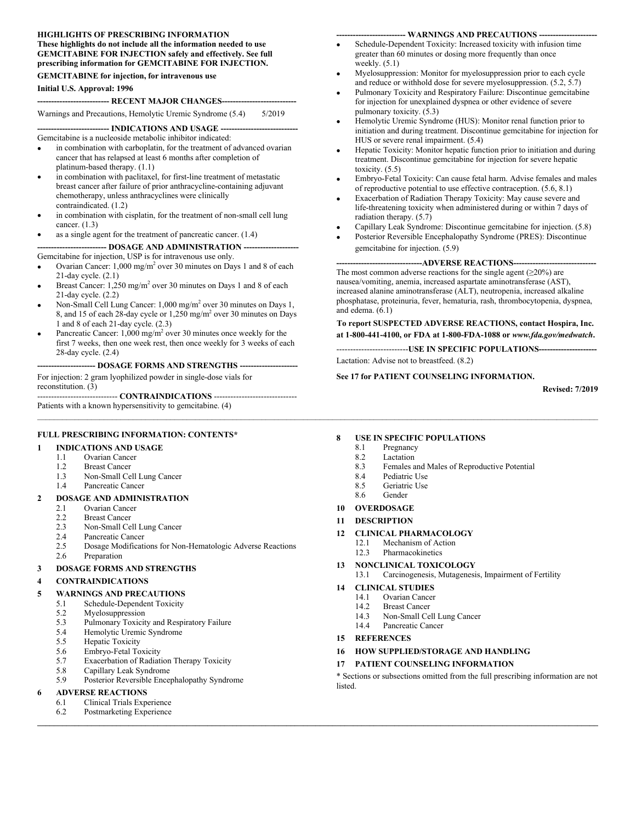#### **HIGHLIGHTS OF PRESCRIBING INFORMATION These highlights do not include all the information needed to use GEMCITABINE FOR INJECTION safely and effectively. See full prescribing information for GEMCITABINE FOR INJECTION.**

#### **GEMCITABINE for injection, for intravenous use**

#### **Initial U.S. Approval: 1996**

#### **-------------------------- RECENT MAJOR CHANGES---------------------------**

Warnings and Precautions, Hemolytic Uremic Syndrome (5.4) 5/2019

**-------------------------- INDICATIONS AND USAGE ----------------------------**

Gemcitabine is a nucleoside metabolic inhibitor indicated:

- in combination with carboplatin, for the treatment of advanced ovarian cancer that has relapsed at least 6 months after completion of platinum-based therapy. (1.1)
- in combination with paclitaxel, for first-line treatment of metastatic breast cancer after failure of prior anthracycline-containing adjuvant chemotherapy, unless anthracyclines were clinically contraindicated. (1.2)
- in combination with cisplatin, for the treatment of non-small cell lung cancer. (1.3)
- as a single agent for the treatment of pancreatic cancer. (1.4)

**------------------------- DOSAGE AND ADMINISTRATION --------------------**

- Gemcitabine for injection, USP is for intravenous use only.
- Ovarian Cancer:  $1,000 \text{ mg/m}^2$  over 30 minutes on Days 1 and 8 of each 21-day cycle. (2.1)
- Breast Cancer:  $1,250 \text{ mg/m}^2$  over 30 minutes on Days 1 and 8 of each 21-day cycle. (2.2)
- Non-Small Cell Lung Cancer:  $1,000 \text{ mg/m}^2$  over 30 minutes on Days 1, 8, and 15 of each 28-day cycle or  $1,250$  mg/m<sup>2</sup> over 30 minutes on Days 1 and 8 of each 21-day cycle. (2.3)
- Pancreatic Cancer:  $1,000 \text{ mg/m}^2$  over 30 minutes once weekly for the first 7 weeks, then one week rest, then once weekly for 3 weeks of each 28-day cycle. (2.4)

**--------------------- DOSAGE FORMS AND STRENGTHS ---------------------**

For injection: 2 gram lyophilized powder in single-dose vials for reconstitution. (3)

----------------------------- **CONTRAINDICATIONS** ------------------------------

Patients with a known hypersensitivity to gemcitabine. (4)

#### **FULL PRESCRIBING INFORMATION: CONTENTS\***

#### **1 INDICATIONS AND USAGE**

- 1.1 Ovarian Cancer
- 1.2 Breast Cancer
- 1.3 Non-Small Cell Lung Cancer
- 1.4 Pancreatic Cancer

#### **2 DOSAGE AND ADMINISTRATION**

- 2.1 Ovarian Cancer
- 2.2 Breast Cancer
- 2.3 Non-Small Cell Lung Cancer
- 2.4 Pancreatic Cancer
- 2.5 Dosage Modifications for Non-Hematologic Adverse Reactions
- 2.6 Preparation

#### **3 DOSAGE FORMS AND STRENGTHS**

#### **4 CONTRAINDICATIONS**

#### **5 WARNINGS AND PRECAUTIONS**

- 5.1 Schedule-Dependent Toxicity
- 5.2 Myelosuppression<br>5.3 Pulmonary Toxicit
- Pulmonary Toxicity and Respiratory Failure
- 5.4 Hemolytic Uremic Syndrome
- 5.5 Hepatic Toxicity
- 5.6 Embryo-Fetal Toxicity
- 5.7 Exacerbation of Radiation Therapy Toxicity
- 5.8 Capillary Leak Syndrome
- 5.9 Posterior Reversible Encephalopathy Syndrome

#### **6 ADVERSE REACTIONS**

- 6.1 Clinical Trials Experience
- 6.2 Postmarketing Experience  $\mathcal{L} = \{ \mathcal{L} = \{ \mathcal{L} = \{ \mathcal{L} = \{ \mathcal{L} = \{ \mathcal{L} = \{ \mathcal{L} = \{ \mathcal{L} = \{ \mathcal{L} = \{ \mathcal{L} = \{ \mathcal{L} = \{ \mathcal{L} = \{ \mathcal{L} = \{ \mathcal{L} = \{ \mathcal{L} = \{ \mathcal{L} = \{ \mathcal{L} = \{ \mathcal{L} = \{ \mathcal{L} = \{ \mathcal{L} = \{ \mathcal{L} = \{ \mathcal{L} = \{ \mathcal{L} = \{ \mathcal{L} = \{ \mathcal{$

#### **------------------------- WARNINGS AND PRECAUTIONS ---------------------**

- Schedule-Dependent Toxicity: Increased toxicity with infusion time greater than 60 minutes or dosing more frequently than once weekly.  $(5.1)$
- Myelosuppression: Monitor for myelosuppression prior to each cycle and reduce or withhold dose for severe myelosuppression. (5.2, 5.7)
- Pulmonary Toxicity and Respiratory Failure: Discontinue gemcitabine for injection for unexplained dyspnea or other evidence of severe pulmonary toxicity. (5.3)
- Hemolytic Uremic Syndrome (HUS): Monitor renal function prior to initiation and during treatment. Discontinue gemcitabine for injection for HUS or severe renal impairment. (5.4)
- Hepatic Toxicity: Monitor hepatic function prior to initiation and during treatment. Discontinue gemcitabine for injection for severe hepatic toxicity. (5.5)
- Embryo-Fetal Toxicity: Can cause fetal harm. Advise females and males of reproductive potential to use effective contraception. (5.6, 8.1)
- Exacerbation of Radiation Therapy Toxicity: May cause severe and life-threatening toxicity when administered during or within 7 days of radiation therapy. (5.7)
- Capillary Leak Syndrome: Discontinue gemcitabine for injection. (5.8)
- Posterior Reversible Encephalopathy Syndrome (PRES): Discontinue gemcitabine for injection. (5.9)

#### **-------------------------------ADVERSE REACTIONS------------------------------**

The most common adverse reactions for the single agent  $(\geq 20\%)$  are nausea/vomiting, anemia, increased aspartate aminotransferase (AST), increased alanine aminotransferase (ALT), neutropenia, increased alkaline phosphatase, proteinuria, fever, hematuria, rash, thrombocytopenia, dyspnea, and edema. (6.1)

**To report SUSPECTED ADVERSE REACTIONS, contact Hospira, Inc. at 1-800-441-4100, or FDA at 1-800-FDA-1088 or** *www.fda.gov/medwatch***.**

--------------------------**USE IN SPECIFIC POPULATIONS---------------------** Lactation: Advise not to breastfeed. (8.2)

#### **See 17 for PATIENT COUNSELING INFORMATION.**

**Revised: 7/2019**

#### **8 USE IN SPECIFIC POPULATIONS**

- 8.1 Pregnancy
- 8.2 Lactation
- 8.3 Females and Males of Reproductive Potential
- 8.4 Pediatric Use
- 8.5 Geriatric Use
- 8.6 Gender

#### **10 OVERDOSAGE**

**11 DESCRIPTION**

#### **12 CLINICAL PHARMACOLOGY**

- 12.1 Mechanism of Action<br>12.3 Pharmacokinetics
- Pharmacokinetics
- **13 NONCLINICAL TOXICOLOGY**
- 13.1 Carcinogenesis, Mutagenesis, Impairment of Fertility

#### **14 CLINICAL STUDIES**

- 14.1 Ovarian Cancer
- 14.2 Breast Cancer
- 14.3 Non-Small Cell Lung Cancer
- 14.4 Pancreatic Cancer
- **15 REFERENCES**

#### **16 HOW SUPPLIED/STORAGE AND HANDLING**

**17 PATIENT COUNSELING INFORMATION**

\* Sections or subsections omitted from the full prescribing information are not listed.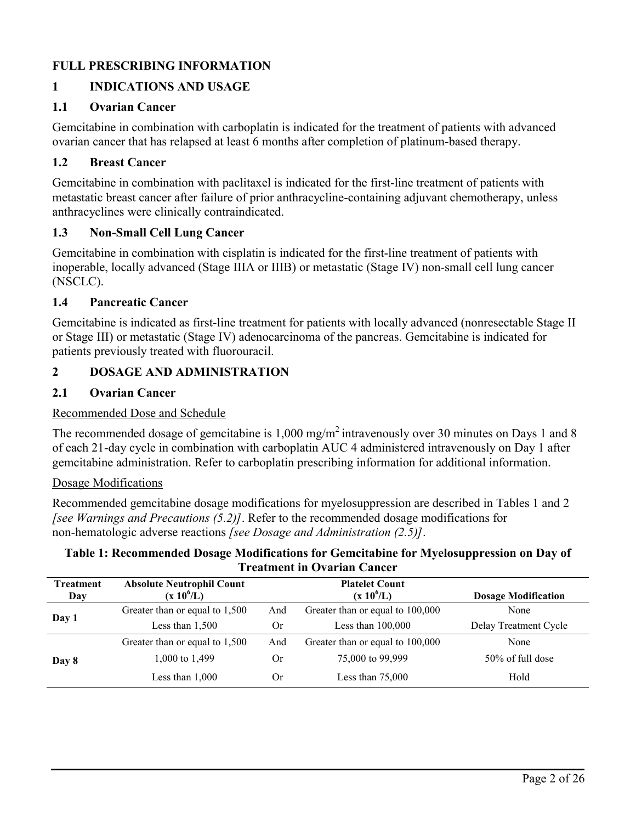## **FULL PRESCRIBING INFORMATION**

# **1 INDICATIONS AND USAGE**

## **1.1 Ovarian Cancer**

Gemcitabine in combination with carboplatin is indicated for the treatment of patients with advanced ovarian cancer that has relapsed at least 6 months after completion of platinum-based therapy.

# **1.2 Breast Cancer**

Gemcitabine in combination with paclitaxel is indicated for the first-line treatment of patients with metastatic breast cancer after failure of prior anthracycline-containing adjuvant chemotherapy, unless anthracyclines were clinically contraindicated.

## **1.3 Non-Small Cell Lung Cancer**

Gemcitabine in combination with cisplatin is indicated for the first-line treatment of patients with inoperable, locally advanced (Stage IIIA or IIIB) or metastatic (Stage IV) non-small cell lung cancer (NSCLC).

## **1.4 Pancreatic Cancer**

Gemcitabine is indicated as first-line treatment for patients with locally advanced (nonresectable Stage II or Stage III) or metastatic (Stage IV) adenocarcinoma of the pancreas. Gemcitabine is indicated for patients previously treated with fluorouracil.

## **2 DOSAGE AND ADMINISTRATION**

## **2.1 Ovarian Cancer**

## Recommended Dose and Schedule

The recommended dosage of gemcitabine is  $1,000 \text{ mg/m}^2$  intravenously over 30 minutes on Days 1 and 8 of each 21-day cycle in combination with carboplatin AUC 4 administered intravenously on Day 1 after gemcitabine administration. Refer to carboplatin prescribing information for additional information.

## Dosage Modifications

Recommended gemcitabine dosage modifications for myelosuppression are described in Tables 1 and 2 *[see Warnings and Precautions (5.2)]*. Refer to the recommended dosage modifications for non-hematologic adverse reactions *[see Dosage and Administration (2.5)]*.

### **Table 1: Recommended Dosage Modifications for Gemcitabine for Myelosuppression on Day of Treatment in Ovarian Cancer**

| <b>Treatment</b><br>Day | <b>Absolute Neutrophil Count</b><br>$(x 10^6/L)$ |             | <b>Platelet Count</b><br>$(x 10^6/L)$ | <b>Dosage Modification</b> |
|-------------------------|--------------------------------------------------|-------------|---------------------------------------|----------------------------|
|                         | Greater than or equal to 1,500                   | And         | Greater than or equal to 100,000      | None                       |
| Day 1                   | Less than $1,500$                                | 0r          | Less than $100,000$                   | Delay Treatment Cycle      |
| Day 8                   | Greater than or equal to 1,500                   | And         | Greater than or equal to 100,000      | None                       |
|                         | 1,000 to 1,499                                   | Or          | 75,000 to 99,999                      | 50% of full dose           |
|                         | Less than $1,000$                                | $_{\rm Or}$ | Less than $75,000$                    | Hold                       |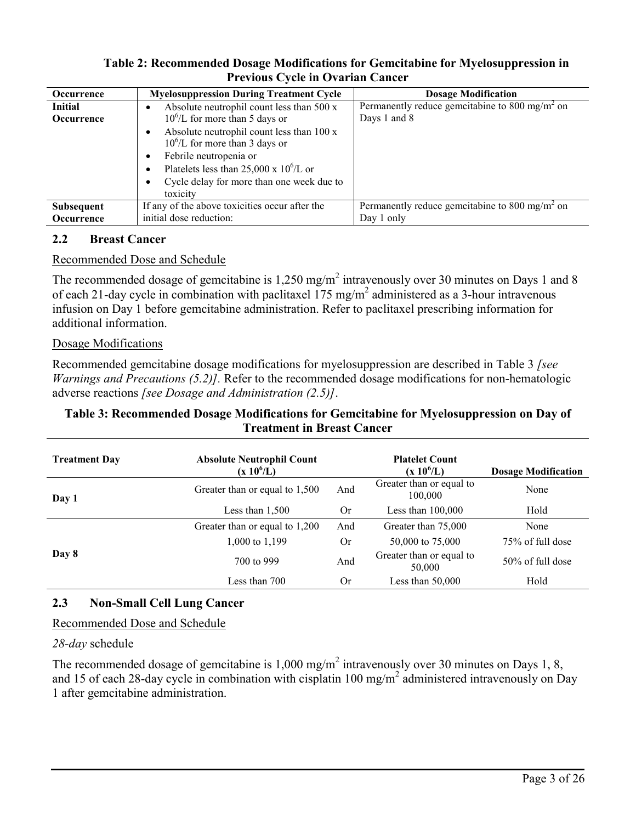## **Table 2: Recommended Dosage Modifications for Gemcitabine for Myelosuppression in Previous Cycle in Ovarian Cancer**

| <b>Occurrence</b> | <b>Myelosuppression During Treatment Cycle</b>                                                           | <b>Dosage Modification</b>                                 |
|-------------------|----------------------------------------------------------------------------------------------------------|------------------------------------------------------------|
| <b>Initial</b>    | Absolute neutrophil count less than 500 x<br>$\bullet$                                                   | Permanently reduce gemcitabine to 800 mg/m <sup>2</sup> on |
| Occurrence        | $10^6$ /L for more than 5 days or                                                                        | Days 1 and 8                                               |
|                   | Absolute neutrophil count less than 100 x<br>$10^6$ /L for more than 3 days or<br>Febrile neutropenia or |                                                            |
|                   | Platelets less than 25,000 x $10^6$ /L or<br>$\bullet$                                                   |                                                            |
|                   | Cycle delay for more than one week due to<br>toxicity                                                    |                                                            |
|                   |                                                                                                          |                                                            |
| <b>Subsequent</b> | If any of the above toxicities occur after the                                                           | Permanently reduce gemcitabine to 800 mg/m <sup>2</sup> on |
| Occurrence        | initial dose reduction:                                                                                  | Day 1 only                                                 |

### **2.2 Breast Cancer**

## Recommended Dose and Schedule

The recommended dosage of gemcitabine is  $1,250 \text{ mg/m}^2$  intravenously over 30 minutes on Days 1 and 8 of each 21-day cycle in combination with paclitaxel  $175 \text{ mg/m}^2$  administered as a 3-hour intravenous infusion on Day 1 before gemcitabine administration. Refer to paclitaxel prescribing information for additional information.

### Dosage Modifications

Recommended gemcitabine dosage modifications for myelosuppression are described in Table 3 *[see Warnings and Precautions (5.2)].* Refer to the recommended dosage modifications for non-hematologic adverse reactions *[see Dosage and Administration (2.5)]*.

## **Table 3: Recommended Dosage Modifications for Gemcitabine for Myelosuppression on Day of Treatment in Breast Cancer**

| <b>Treatment Day</b> | <b>Absolute Neutrophil Count</b><br>$(x 10^6/L)$ |           | <b>Platelet Count</b><br>$(x 10^6/L)$ | <b>Dosage Modification</b> |
|----------------------|--------------------------------------------------|-----------|---------------------------------------|----------------------------|
| Day 1                | Greater than or equal to 1,500                   | And       | Greater than or equal to<br>100,000   | None                       |
|                      | Less than $1,500$                                |           | Less than $100,000$                   | Hold                       |
|                      | Greater than or equal to 1,200                   | And       | Greater than 75,000                   | None                       |
|                      | 1,000 to 1,199                                   | <b>Or</b> | 50,000 to 75,000                      | 75% of full dose           |
| Day 8                | 700 to 999                                       |           | Greater than or equal to<br>50,000    | $50\%$ of full dose        |
|                      | Less than 700                                    | <b>Or</b> | Less than $50,000$                    | Hold                       |

## **2.3 Non-Small Cell Lung Cancer**

Recommended Dose and Schedule

### *28-day* schedule

The recommended dosage of gemcitabine is 1,000 mg/m<sup>2</sup> intravenously over 30 minutes on Days 1, 8, and 15 of each 28-day cycle in combination with cisplatin 100 mg/m<sup>2</sup> administered intravenously on Day 1 after gemcitabine administration.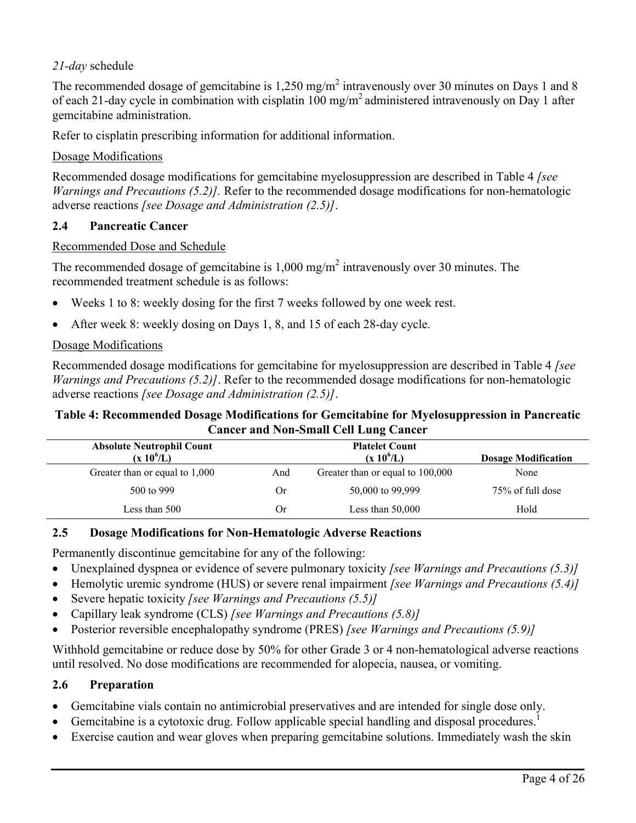# *21-day* schedule

The recommended dosage of gemcitabine is  $1,250 \text{ mg/m}^2$  intravenously over 30 minutes on Days 1 and 8 of each 21-day cycle in combination with cisplatin 100 mg/m<sup>2</sup> administered intravenously on Day 1 after gemcitabine administration.

Refer to cisplatin prescribing information for additional information.

# Dosage Modifications

Recommended dosage modifications for gemcitabine myelosuppression are described in Table 4 *[see Warnings and Precautions (5.2)].* Refer to the recommended dosage modifications for non-hematologic adverse reactions *[see Dosage and Administration (2.5)]*.

# **2.4 Pancreatic Cancer**

## Recommended Dose and Schedule

The recommended dosage of gemcitabine is  $1,000 \text{ mg/m}^2$  intravenously over 30 minutes. The recommended treatment schedule is as follows:

- Weeks 1 to 8: weekly dosing for the first 7 weeks followed by one week rest.
- After week 8: weekly dosing on Days 1, 8, and 15 of each 28-day cycle.

## Dosage Modifications

Recommended dosage modifications for gemcitabine for myelosuppression are described in Table 4 *[see Warnings and Precautions (5.2)]*. Refer to the recommended dosage modifications for non-hematologic adverse reactions *[see Dosage and Administration (2.5)]*.

### **Table 4: Recommended Dosage Modifications for Gemcitabine for Myelosuppression in Pancreatic Cancer and Non-Small Cell Lung Cancer**

| <b>Absolute Neutrophil Count</b> |     | <b>Platelet Count</b>            |                            |
|----------------------------------|-----|----------------------------------|----------------------------|
| $(x 10^6/L)$                     |     | $(x 10^6/L)$                     | <b>Dosage Modification</b> |
| Greater than or equal to 1,000   | And | Greater than or equal to 100,000 | None                       |
| 500 to 999                       | Or  | 50,000 to 99,999                 | 75% of full dose           |
| Less than 500                    | Or  | Less than $50,000$               | Hold                       |

## **2.5 Dosage Modifications for Non-Hematologic Adverse Reactions**

Permanently discontinue gemcitabine for any of the following:

- Unexplained dyspnea or evidence of severe pulmonary toxicity *[see Warnings and Precautions (5.3)]*
- Hemolytic uremic syndrome (HUS) or severe renal impairment *[see Warnings and Precautions (5.4)]*
- Severe hepatic toxicity *[see Warnings and Precautions (5.5)]*
- Capillary leak syndrome (CLS) *[see Warnings and Precautions (5.8)]*
- Posterior reversible encephalopathy syndrome (PRES) *[see Warnings and Precautions (5.9)]*

Withhold gemcitabine or reduce dose by 50% for other Grade 3 or 4 non-hematological adverse reactions until resolved. No dose modifications are recommended for alopecia, nausea, or vomiting.

## **2.6 Preparation**

- Gemcitabine vials contain no antimicrobial preservatives and are intended for single dose only.
- Gemcitabine is a cytotoxic drug. Follow applicable special handling and disposal procedures.<sup>1</sup>
- Exercise caution and wear gloves when preparing gemcitabine solutions. Immediately wash the skin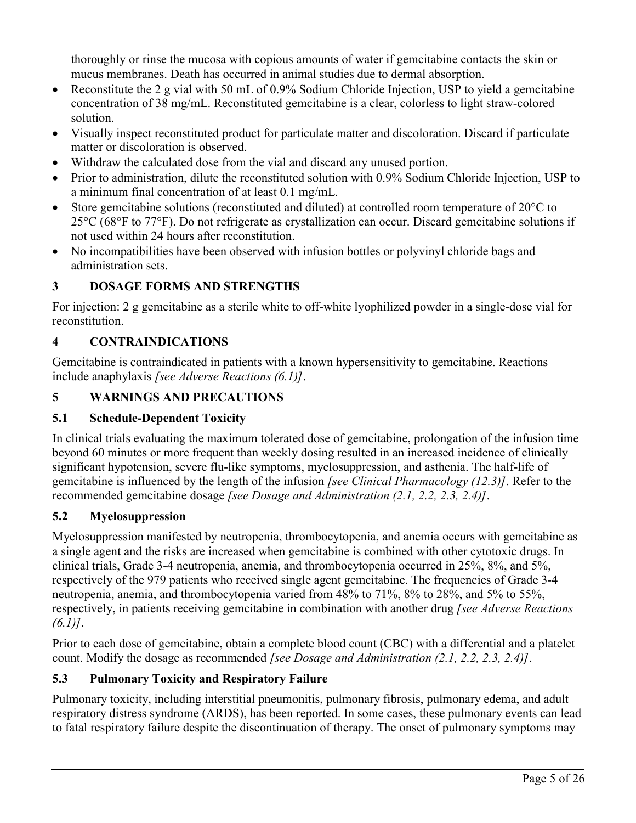thoroughly or rinse the mucosa with copious amounts of water if gemcitabine contacts the skin or mucus membranes. Death has occurred in animal studies due to dermal absorption.

- Reconstitute the 2 g vial with 50 mL of 0.9% Sodium Chloride Injection, USP to yield a gemcitabine concentration of 38 mg/mL. Reconstituted gemcitabine is a clear, colorless to light straw-colored solution.
- Visually inspect reconstituted product for particulate matter and discoloration. Discard if particulate matter or discoloration is observed.
- Withdraw the calculated dose from the vial and discard any unused portion.
- Prior to administration, dilute the reconstituted solution with 0.9% Sodium Chloride Injection. USP to a minimum final concentration of at least 0.1 mg/mL.
- Store gemcitabine solutions (reconstituted and diluted) at controlled room temperature of 20°C to 25°C (68°F to 77°F). Do not refrigerate as crystallization can occur. Discard gemcitabine solutions if not used within 24 hours after reconstitution.
- No incompatibilities have been observed with infusion bottles or polyvinyl chloride bags and administration sets.

# **3 DOSAGE FORMS AND STRENGTHS**

For injection: 2 g gemcitabine as a sterile white to off-white lyophilized powder in a single-dose vial for reconstitution.

# **4 CONTRAINDICATIONS**

Gemcitabine is contraindicated in patients with a known hypersensitivity to gemcitabine. Reactions include anaphylaxis *[see Adverse Reactions (6.1)]*.

# **5 WARNINGS AND PRECAUTIONS**

# **5.1 Schedule-Dependent Toxicity**

In clinical trials evaluating the maximum tolerated dose of gemcitabine, prolongation of the infusion time beyond 60 minutes or more frequent than weekly dosing resulted in an increased incidence of clinically significant hypotension, severe flu-like symptoms, myelosuppression, and asthenia. The half-life of gemcitabine is influenced by the length of the infusion *[see Clinical Pharmacology (12.3)]*. Refer to the recommended gemcitabine dosage *[see Dosage and Administration (2.1, 2.2, 2.3, 2.4)]*.

# **5.2 Myelosuppression**

Myelosuppression manifested by neutropenia, thrombocytopenia, and anemia occurs with gemcitabine as a single agent and the risks are increased when gemcitabine is combined with other cytotoxic drugs. In clinical trials, Grade 3-4 neutropenia, anemia, and thrombocytopenia occurred in 25%, 8%, and 5%, respectively of the 979 patients who received single agent gemcitabine. The frequencies of Grade 3-4 neutropenia, anemia, and thrombocytopenia varied from 48% to 71%, 8% to 28%, and 5% to 55%, respectively, in patients receiving gemcitabine in combination with another drug *[see Adverse Reactions (6.1)]*.

Prior to each dose of gemcitabine, obtain a complete blood count (CBC) with a differential and a platelet count. Modify the dosage as recommended *[see Dosage and Administration (2.1, 2.2, 2.3, 2.4)]*.

# **5.3 Pulmonary Toxicity and Respiratory Failure**

Pulmonary toxicity, including interstitial pneumonitis, pulmonary fibrosis, pulmonary edema, and adult respiratory distress syndrome (ARDS), has been reported. In some cases, these pulmonary events can lead to fatal respiratory failure despite the discontinuation of therapy. The onset of pulmonary symptoms may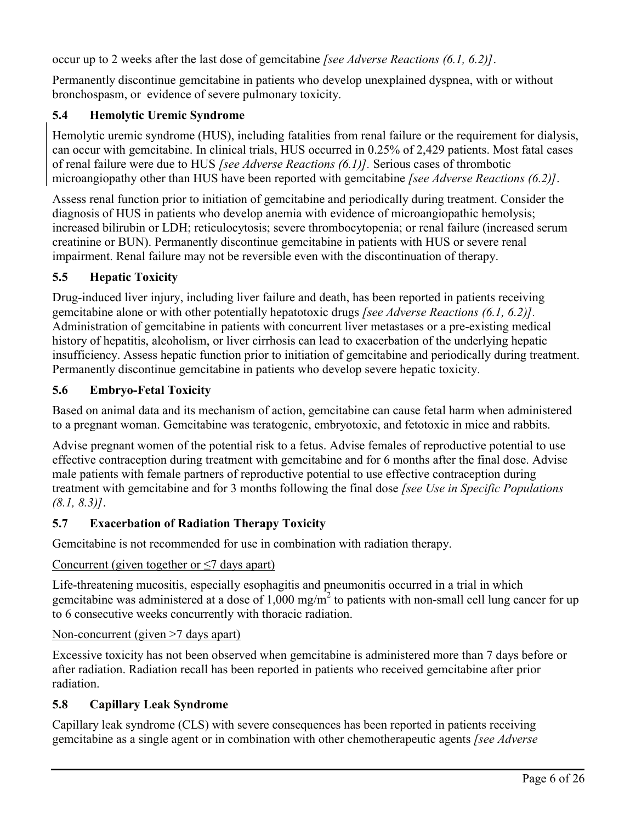occur up to 2 weeks after the last dose of gemcitabine *[see Adverse Reactions (6.1, 6.2)]*.

Permanently discontinue gemcitabine in patients who develop unexplained dyspnea, with or without bronchospasm, or evidence of severe pulmonary toxicity.

# **5.4 Hemolytic Uremic Syndrome**

Hemolytic uremic syndrome (HUS), including fatalities from renal failure or the requirement for dialysis, can occur with gemcitabine. In clinical trials, HUS occurred in 0.25% of 2,429 patients. Most fatal cases of renal failure were due to HUS *[see Adverse Reactions (6.1)].* Serious cases of thrombotic microangiopathy other than HUS have been reported with gemcitabine *[see Adverse Reactions (6.2)]*.

Assess renal function prior to initiation of gemcitabine and periodically during treatment. Consider the diagnosis of HUS in patients who develop anemia with evidence of microangiopathic hemolysis; increased bilirubin or LDH; reticulocytosis; severe thrombocytopenia; or renal failure (increased serum creatinine or BUN). Permanently discontinue gemcitabine in patients with HUS or severe renal impairment. Renal failure may not be reversible even with the discontinuation of therapy.

# **5.5 Hepatic Toxicity**

Drug-induced liver injury, including liver failure and death, has been reported in patients receiving gemcitabine alone or with other potentially hepatotoxic drugs *[see Adverse Reactions (6.1, 6.2)].* Administration of gemcitabine in patients with concurrent liver metastases or a pre-existing medical history of hepatitis, alcoholism, or liver cirrhosis can lead to exacerbation of the underlying hepatic insufficiency. Assess hepatic function prior to initiation of gemcitabine and periodically during treatment. Permanently discontinue gemcitabine in patients who develop severe hepatic toxicity.

## **5.6 Embryo-Fetal Toxicity**

Based on animal data and its mechanism of action, gemcitabine can cause fetal harm when administered to a pregnant woman. Gemcitabine was teratogenic, embryotoxic, and fetotoxic in mice and rabbits.

Advise pregnant women of the potential risk to a fetus. Advise females of reproductive potential to use effective contraception during treatment with gemcitabine and for 6 months after the final dose. Advise male patients with female partners of reproductive potential to use effective contraception during treatment with gemcitabine and for 3 months following the final dose *[see Use in Specific Populations (8.1, 8.3)]*.

# **5.7 Exacerbation of Radiation Therapy Toxicity**

Gemcitabine is not recommended for use in combination with radiation therapy.

## Concurrent (given together or  $\leq$ 7 days apart)

Life-threatening mucositis, especially esophagitis and pneumonitis occurred in a trial in which gemcitabine was administered at a dose of 1,000 mg/m<sup>2</sup> to patients with non-small cell lung cancer for up to 6 consecutive weeks concurrently with thoracic radiation.

## Non-concurrent (given >7 days apart)

Excessive toxicity has not been observed when gemcitabine is administered more than 7 days before or after radiation. Radiation recall has been reported in patients who received gemcitabine after prior radiation.

# **5.8 Capillary Leak Syndrome**

Capillary leak syndrome (CLS) with severe consequences has been reported in patients receiving gemcitabine as a single agent or in combination with other chemotherapeutic agents *[see Adverse*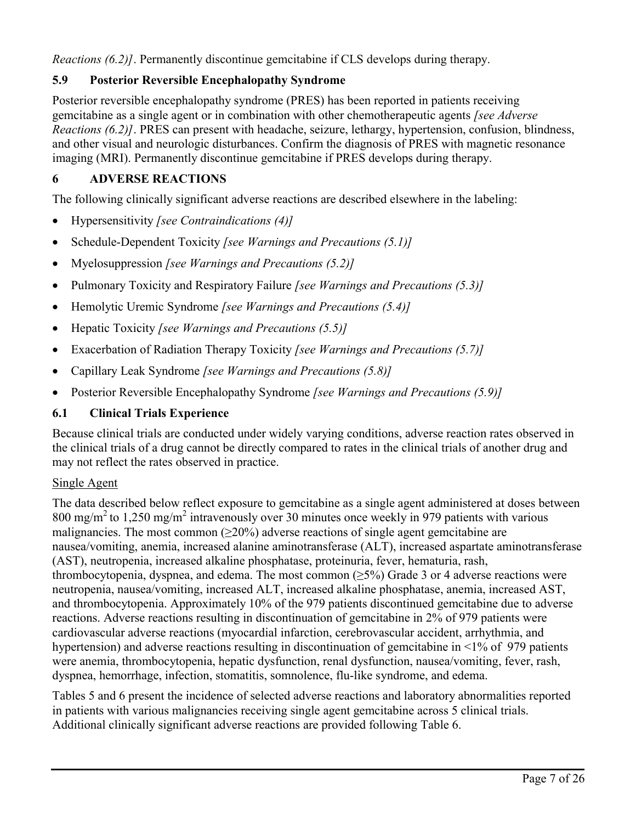*Reactions (6.2)]*. Permanently discontinue gemcitabine if CLS develops during therapy.

# **5.9 Posterior Reversible Encephalopathy Syndrome**

Posterior reversible encephalopathy syndrome (PRES) has been reported in patients receiving gemcitabine as a single agent or in combination with other chemotherapeutic agents *[see Adverse Reactions (6.2)]*. PRES can present with headache, seizure, lethargy, hypertension, confusion, blindness, and other visual and neurologic disturbances. Confirm the diagnosis of PRES with magnetic resonance imaging (MRI). Permanently discontinue gemcitabine if PRES develops during therapy.

# **6 ADVERSE REACTIONS**

The following clinically significant adverse reactions are described elsewhere in the labeling:

- Hypersensitivity *[see Contraindications (4)]*
- Schedule-Dependent Toxicity *[see Warnings and Precautions (5.1)]*
- Myelosuppression *[see Warnings and Precautions (5.2)]*
- Pulmonary Toxicity and Respiratory Failure *[see Warnings and Precautions (5.3)]*
- Hemolytic Uremic Syndrome *[see Warnings and Precautions (5.4)]*
- Hepatic Toxicity *[see Warnings and Precautions (5.5)]*
- Exacerbation of Radiation Therapy Toxicity *[see Warnings and Precautions (5.7)]*
- Capillary Leak Syndrome *[see Warnings and Precautions (5.8)]*
- Posterior Reversible Encephalopathy Syndrome *[see Warnings and Precautions (5.9)]*

# **6.1 Clinical Trials Experience**

Because clinical trials are conducted under widely varying conditions, adverse reaction rates observed in the clinical trials of a drug cannot be directly compared to rates in the clinical trials of another drug and may not reflect the rates observed in practice.

# Single Agent

The data described below reflect exposure to gemcitabine as a single agent administered at doses between 800 mg/m<sup>2</sup> to 1,250 mg/m<sup>2</sup> intravenously over 30 minutes once weekly in 979 patients with various malignancies. The most common  $(\geq 20\%)$  adverse reactions of single agent gemcitabine are nausea/vomiting, anemia, increased alanine aminotransferase (ALT), increased aspartate aminotransferase (AST), neutropenia, increased alkaline phosphatase, proteinuria, fever, hematuria, rash, thrombocytopenia, dyspnea, and edema. The most common  $(\geq 5\%)$  Grade 3 or 4 adverse reactions were neutropenia, nausea/vomiting, increased ALT, increased alkaline phosphatase, anemia, increased AST, and thrombocytopenia. Approximately 10% of the 979 patients discontinued gemcitabine due to adverse reactions. Adverse reactions resulting in discontinuation of gemcitabine in 2% of 979 patients were cardiovascular adverse reactions (myocardial infarction, cerebrovascular accident, arrhythmia, and hypertension) and adverse reactions resulting in discontinuation of gemcitabine in <1% of 979 patients were anemia, thrombocytopenia, hepatic dysfunction, renal dysfunction, nausea/vomiting, fever, rash, dyspnea, hemorrhage, infection, stomatitis, somnolence, flu-like syndrome, and edema.

Tables 5 and 6 present the incidence of selected adverse reactions and laboratory abnormalities reported in patients with various malignancies receiving single agent gemcitabine across 5 clinical trials. Additional clinically significant adverse reactions are provided following Table 6.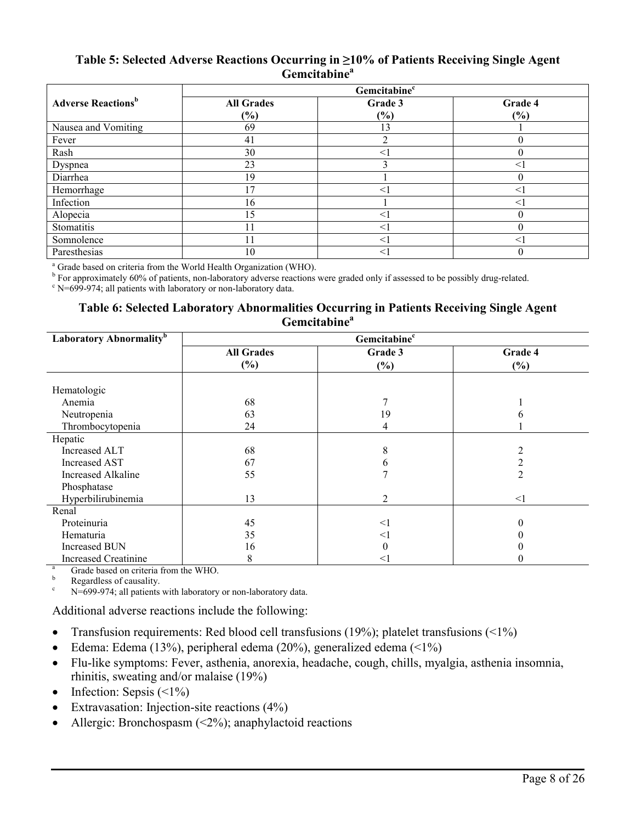### **Table 5: Selected Adverse Reactions Occurring in ≥10% of Patients Receiving Single Agent Gemcitabine<sup>a</sup>**

|                                       | Gemcitabine <sup>c</sup> |                |                |  |  |  |  |  |
|---------------------------------------|--------------------------|----------------|----------------|--|--|--|--|--|
| <b>Adverse Reactions</b> <sup>b</sup> | <b>All Grades</b><br>(%) | Grade 3<br>(%) | Grade 4<br>(%) |  |  |  |  |  |
| Nausea and Vomiting                   | 69                       | 13             |                |  |  |  |  |  |
| Fever                                 | 41                       | ◠              |                |  |  |  |  |  |
| Rash                                  | 30                       | $<$ 1          |                |  |  |  |  |  |
| Dyspnea                               | 23                       |                |                |  |  |  |  |  |
| Diarrhea                              | 19                       |                |                |  |  |  |  |  |
| Hemorrhage                            | 17                       | $\,<\,$        |                |  |  |  |  |  |
| Infection                             | 16                       |                |                |  |  |  |  |  |
| Alopecia                              | 15                       | $<$ 1          |                |  |  |  |  |  |
| Stomatitis                            |                          | $\leq$         |                |  |  |  |  |  |
| Somnolence                            | $\overline{1}$           | $\leq$         |                |  |  |  |  |  |
| Paresthesias                          | 10                       | $\leq$         |                |  |  |  |  |  |

<sup>a</sup> Grade based on criteria from the World Health Organization (WHO).

<sup>b</sup> For approximately 60% of patients, non-laboratory adverse reactions were graded only if assessed to be possibly drug-related.

 $\cdot$  N=699-974; all patients with laboratory or non-laboratory data.

### **Table 6: Selected Laboratory Abnormalities Occurring in Patients Receiving Single Agent Gemcitabine<sup>a</sup>**

| Laboratory Abnormality <sup>b</sup> |                                  | Gemcitabine <sup>c</sup> |         |
|-------------------------------------|----------------------------------|--------------------------|---------|
|                                     | <b>All Grades</b>                | Grade 3                  | Grade 4 |
|                                     | $(\%)$                           | $(\%)$                   | $(\%)$  |
| Hematologic                         |                                  |                          |         |
| Anemia                              | 68                               |                          |         |
| Neutropenia                         | 63                               | 19                       |         |
| Thrombocytopenia                    | 24                               |                          |         |
| Hepatic                             |                                  |                          |         |
| Increased ALT                       | 68                               | 8                        |         |
| <b>Increased AST</b>                | 67                               | 6                        |         |
| <b>Increased Alkaline</b>           | 55                               |                          |         |
| Phosphatase                         |                                  |                          |         |
| Hyperbilirubinemia                  | 13                               | 2                        | <1      |
| Renal                               |                                  |                          |         |
| Proteinuria                         | 45                               | $<$ 1                    |         |
| Hematuria                           | 35                               | $<$ 1                    |         |
| <b>Increased BUN</b>                | 16                               | $\Omega$                 |         |
| <b>Increased Creatinine</b>         | 8<br>$\frac{1}{2}$ $\frac{1}{2}$ | $\leq$ 1                 | U       |

 $A = \text{Grade based on criteria from the WHO.}$ 

Regardless of causality.

N=699-974; all patients with laboratory or non-laboratory data.

Additional adverse reactions include the following:

- Transfusion requirements: Red blood cell transfusions (19%); platelet transfusions ( $\leq 1\%$ )
- Edema: Edema (13%), peripheral edema (20%), generalized edema ( $\leq 1\%$ )
- Flu-like symptoms: Fever, asthenia, anorexia, headache, cough, chills, myalgia, asthenia insomnia, rhinitis, sweating and/or malaise (19%)
- Infection: Sepsis  $(\leq 1\%)$
- Extravasation: Injection-site reactions (4%)
- Allergic: Bronchospasm (<2%); anaphylactoid reactions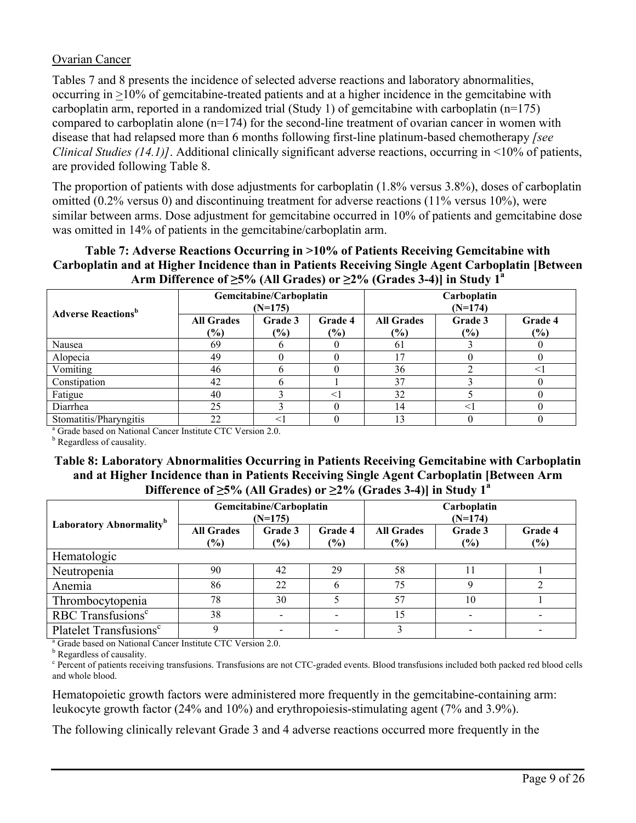## Ovarian Cancer

Tables 7 and 8 presents the incidence of selected adverse reactions and laboratory abnormalities, occurring in >10% of gemcitabine-treated patients and at a higher incidence in the gemcitabine with carboplatin arm, reported in a randomized trial (Study 1) of gemcitabine with carboplatin (n=175) compared to carboplatin alone (n=174) for the second-line treatment of ovarian cancer in women with disease that had relapsed more than 6 months following first-line platinum-based chemotherapy *[see Clinical Studies (14.1)]*. Additional clinically significant adverse reactions, occurring in <10% of patients, are provided following Table 8.

The proportion of patients with dose adjustments for carboplatin (1.8% versus 3.8%), doses of carboplatin omitted (0.2% versus 0) and discontinuing treatment for adverse reactions (11% versus 10%), were similar between arms. Dose adjustment for gemcitabine occurred in 10% of patients and gemcitabine dose was omitted in 14% of patients in the gemcitabine/carboplatin arm.

**Table 7: Adverse Reactions Occurring in >10% of Patients Receiving Gemcitabine with Carboplatin and at Higher Incidence than in Patients Receiving Single Agent Carboplatin [Between Arm Difference of ≥5% (All Grades) or ≥2% (Grades 3-4)] in Study 1 a**

| <b>Adverse Reactions</b> <sup>b</sup> |                             | Gemcitabine/Carboplatin<br>$(N=175)$ |                | Carboplatin<br>$(N=174)$    |                   |                   |
|---------------------------------------|-----------------------------|--------------------------------------|----------------|-----------------------------|-------------------|-------------------|
|                                       | <b>All Grades</b><br>$(\%)$ | Grade 3<br>(%)                       | Grade 4<br>(%) | <b>All Grades</b><br>$(\%)$ | Grade 3<br>$(\%)$ | Grade 4<br>$(\%)$ |
| Nausea                                | 69                          |                                      |                | 61                          |                   |                   |
| Alopecia                              | 49                          |                                      |                | 17                          |                   |                   |
| Vomiting                              | 46                          |                                      |                | 36                          |                   | $<$ 1             |
| Constipation                          | 42                          |                                      |                | 37                          |                   |                   |
| Fatigue                               | 40                          |                                      | $\lt$          | 32                          |                   |                   |
| Diarrhea                              | 25                          |                                      |                | 14                          | $<$ 1             |                   |
| Stomatitis/Pharyngitis                | 22                          |                                      |                | 13                          |                   |                   |

<sup>a</sup> Grade based on National Cancer Institute CTC Version 2.0.

**b** Regardless of causality.

## **Table 8: Laboratory Abnormalities Occurring in Patients Receiving Gemcitabine with Carboplatin and at Higher Incidence than in Patients Receiving Single Agent Carboplatin [Between Arm**  Difference of  $\geq$ 5% (All Grades) or  $\geq$ 2% (Grades 3-4)] in Study 1<sup>a</sup>

|                                     |                             | Gemcitabine/Carboplatin<br>$(N=175)$ |                | Carboplatin<br>$(N=174)$    |                   |                   |  |
|-------------------------------------|-----------------------------|--------------------------------------|----------------|-----------------------------|-------------------|-------------------|--|
| Laboratory Abnormality <sup>b</sup> | <b>All Grades</b><br>$(\%)$ | Grade 3<br>(%)                       | Grade 4<br>(%) | <b>All Grades</b><br>$(\%)$ | Grade 3<br>$(\%)$ | Grade 4<br>$(\%)$ |  |
| Hematologic                         |                             |                                      |                |                             |                   |                   |  |
| Neutropenia                         | 90                          | 42                                   | 29             | 58                          |                   |                   |  |
| Anemia                              | 86                          | 22                                   |                | 75                          | 9                 |                   |  |
| Thrombocytopenia                    | 78                          | 30                                   |                | 57                          | 10                |                   |  |
| RBC Transfusions <sup>c</sup>       | 38                          |                                      |                | 15                          |                   |                   |  |
| Platelet Transfusions <sup>c</sup>  | 9                           |                                      |                | 3                           |                   |                   |  |

<sup>a</sup> Grade based on National Cancer Institute CTC Version 2.0.

**b** Regardless of causality.

<sup>c</sup> Percent of patients receiving transfusions. Transfusions are not CTC-graded events. Blood transfusions included both packed red blood cells and whole blood.

Hematopoietic growth factors were administered more frequently in the gemcitabine-containing arm: leukocyte growth factor (24% and 10%) and erythropoiesis-stimulating agent (7% and 3.9%).

The following clinically relevant Grade 3 and 4 adverse reactions occurred more frequently in the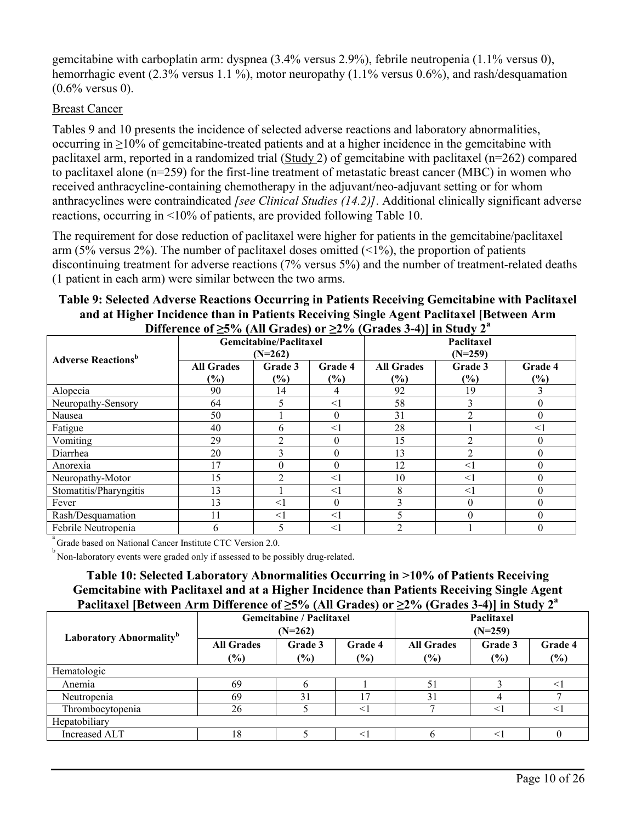gemcitabine with carboplatin arm: dyspnea (3.4% versus 2.9%), febrile neutropenia (1.1% versus 0), hemorrhagic event (2.3% versus 1.1 %), motor neuropathy (1.1% versus 0.6%), and rash/desquamation (0.6% versus 0).

## Breast Cancer

Tables 9 and 10 presents the incidence of selected adverse reactions and laboratory abnormalities, occurring in ≥10% of gemcitabine-treated patients and at a higher incidence in the gemcitabine with paclitaxel arm, reported in a randomized trial (Study 2) of gemcitabine with paclitaxel (n=262) compared to paclitaxel alone (n=259) for the first-line treatment of metastatic breast cancer (MBC) in women who received anthracycline-containing chemotherapy in the adjuvant/neo-adjuvant setting or for whom anthracyclines were contraindicated *[see Clinical Studies (14.2)]*. Additional clinically significant adverse reactions, occurring in <10% of patients, are provided following Table 10.

The requirement for dose reduction of paclitaxel were higher for patients in the gemcitabine/paclitaxel arm (5% versus 2%). The number of paclitaxel doses omitted  $(1\%)$ , the proportion of patients discontinuing treatment for adverse reactions (7% versus 5%) and the number of treatment-related deaths (1 patient in each arm) were similar between the two arms.

**Table 9: Selected Adverse Reactions Occurring in Patients Receiving Gemcitabine with Paclitaxel and at Higher Incidence than in Patients Receiving Single Agent Paclitaxel [Between Arm Difference of ≥5% (All Grades) or ≥2% (Grades 3-4)] in Study 2 a**

| <b>Adverse Reactions</b> <sup>b</sup> |                   | Gemcitabine/Paclitaxel<br>$(N=262)$ |          | Paclitaxel<br>$(N=259)$ |               |                  |
|---------------------------------------|-------------------|-------------------------------------|----------|-------------------------|---------------|------------------|
|                                       | <b>All Grades</b> | Grade 3                             | Grade 4  | <b>All Grades</b>       | Grade 3       | Grade 4          |
|                                       | $(\%)$            | (%)                                 | (%)      | $\frac{6}{6}$           | $\frac{6}{6}$ | $(\%)$           |
| Alopecia                              | 90                | 14                                  | 4        | 92                      | 19            |                  |
| Neuropathy-Sensory                    | 64                |                                     | <1       | 58                      | 3             | $\Omega$         |
| Nausea                                | 50                |                                     | $\Omega$ | 31                      | C             | $\boldsymbol{0}$ |
| Fatigue                               | 40                | 6                                   | $\leq$   | 28                      |               | $\leq$ 1         |
| Vomiting                              | 29                |                                     | $\Omega$ | 15                      |               | $\theta$         |
| Diarrhea                              | 20                |                                     | $\Omega$ | 13                      | 2             | $\Omega$         |
| Anorexia                              | 17                |                                     | $\Omega$ | 12                      | $<$ 1         | 0                |
| Neuropathy-Motor                      | 15                |                                     | <1       | 10                      | <1            | $\theta$         |
| Stomatitis/Pharyngitis                | 13                |                                     | $\leq$ 1 | 8                       | $<$ 1         | $\Omega$         |
| Fever                                 | 13                | $<$ 1                               | $\theta$ | 3                       | $\theta$      | $\theta$         |
| Rash/Desquamation                     | 11                | $<$ 1                               | $<$ 1    |                         | $\theta$      | $\boldsymbol{0}$ |
| Febrile Neutropenia                   | 6                 |                                     | $\leq$ 1 | $\overline{2}$          |               | $\theta$         |

<sup>a</sup> Grade based on National Cancer Institute CTC Version 2.0.

<sup>b</sup> Non-laboratory events were graded only if assessed to be possibly drug-related.

**Table 10: Selected Laboratory Abnormalities Occurring in >10% of Patients Receiving Gemcitabine with Paclitaxel and at a Higher Incidence than Patients Receiving Single Agent Paclitaxel [Between Arm Difference of ≥5% (All Grades) or ≥2% (Grades 3-4)] in Study 2<sup>a</sup>**

|                                     |                                                  | <b>Gemcitabine / Paclitaxel</b><br>$(N=262)$ |                   | Paclitaxel<br>$(N=259)$                    |        |                   |  |  |
|-------------------------------------|--------------------------------------------------|----------------------------------------------|-------------------|--------------------------------------------|--------|-------------------|--|--|
| Laboratory Abnormality <sup>b</sup> | <b>All Grades</b><br>Grade 3<br>$(\%)$<br>$(\%)$ |                                              | Grade 4<br>$(\%)$ | <b>All Grades</b><br>Grade 3<br>(%)<br>(%) |        | Grade 4<br>$(\%)$ |  |  |
| Hematologic                         |                                                  |                                              |                   |                                            |        |                   |  |  |
| Anemia                              | 69                                               |                                              |                   | 51                                         |        |                   |  |  |
| Neutropenia                         | 69                                               | 31                                           | 17                | 31                                         |        |                   |  |  |
| Thrombocytopenia                    | 26                                               |                                              | $<$ 1             |                                            | $<$ 1  |                   |  |  |
| Hepatobiliary                       |                                                  |                                              |                   |                                            |        |                   |  |  |
| Increased ALT                       | 18                                               |                                              |                   |                                            | $\leq$ |                   |  |  |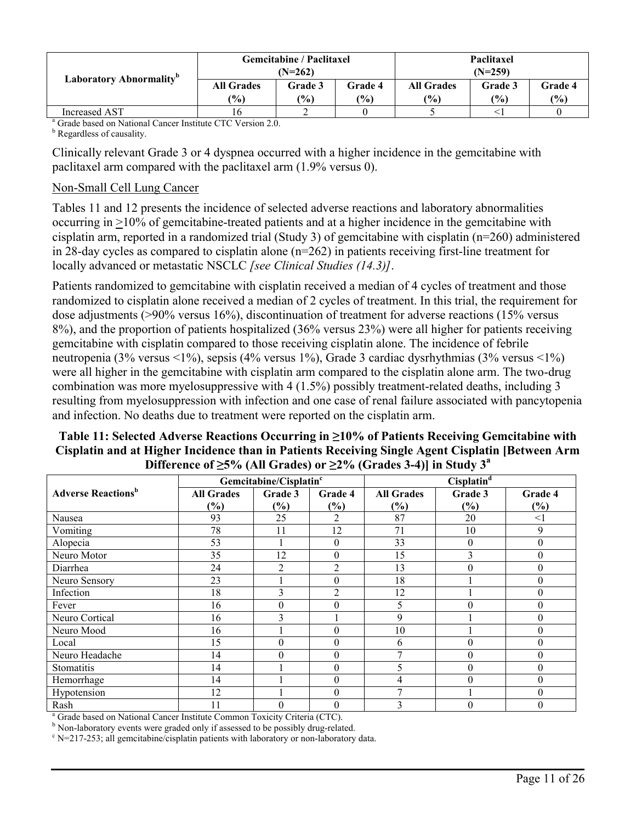| Laboratory Abnormality <sup>b</sup> |                          | <b>Gemcitabine / Paclitaxel</b><br>$(N=262)$ |                   | Paclitaxel<br>$(N=259)$     |                |                  |
|-------------------------------------|--------------------------|----------------------------------------------|-------------------|-----------------------------|----------------|------------------|
|                                     | <b>All Grades</b><br>(%) | Grade 3<br>$\frac{1}{2}$                     | Grade 4<br>$(\%)$ | <b>All Grades</b><br>$($ %) | Grade 3<br>(%) | Grade 4<br>(9/0) |
| Increased AST                       | 16                       |                                              |                   |                             |                |                  |

<sup>a</sup> Grade based on National Cancer Institute CTC Version 2.0.

**b** Regardless of causality.

Clinically relevant Grade 3 or 4 dyspnea occurred with a higher incidence in the gemcitabine with paclitaxel arm compared with the paclitaxel arm (1.9% versus 0).

### Non-Small Cell Lung Cancer

Tables 11 and 12 presents the incidence of selected adverse reactions and laboratory abnormalities occurring in >10% of gemcitabine-treated patients and at a higher incidence in the gemcitabine with cisplatin arm, reported in a randomized trial (Study 3) of gemcitabine with cisplatin (n=260) administered in 28-day cycles as compared to cisplatin alone (n=262) in patients receiving first-line treatment for locally advanced or metastatic NSCLC *[see Clinical Studies (14.3)]*.

Patients randomized to gemcitabine with cisplatin received a median of 4 cycles of treatment and those randomized to cisplatin alone received a median of 2 cycles of treatment. In this trial, the requirement for dose adjustments (>90% versus 16%), discontinuation of treatment for adverse reactions (15% versus 8%), and the proportion of patients hospitalized (36% versus 23%) were all higher for patients receiving gemcitabine with cisplatin compared to those receiving cisplatin alone. The incidence of febrile neutropenia (3% versus <1%), sepsis (4% versus 1%), Grade 3 cardiac dysrhythmias (3% versus <1%) were all higher in the gemcitabine with cisplatin arm compared to the cisplatin alone arm. The two-drug combination was more myelosuppressive with 4 (1.5%) possibly treatment-related deaths, including 3 resulting from myelosuppression with infection and one case of renal failure associated with pancytopenia and infection. No deaths due to treatment were reported on the cisplatin arm.

| DIRECTOR OF $\leq$ 70 (Terr Q) auto) of $\leq$ 470 (Q) auto 0-47] in Study 5 |                   |                                    |                  |                   |                  |                  |  |  |
|------------------------------------------------------------------------------|-------------------|------------------------------------|------------------|-------------------|------------------|------------------|--|--|
|                                                                              |                   | Gemcitabine/Cisplatin <sup>c</sup> |                  |                   | $Cisplatin^d$    |                  |  |  |
| <b>Adverse Reactions</b> <sup>b</sup>                                        | <b>All Grades</b> | Grade 3                            | Grade 4          | <b>All Grades</b> | Grade 3          | Grade 4          |  |  |
|                                                                              | $(\%)$            | (%)                                | $(\%)$           | $(\%)$            | $(\%)$           | $(\%)$           |  |  |
| Nausea                                                                       | 93                | 25                                 | $\overline{2}$   | 87                | 20               | $\leq$ 1         |  |  |
| Vomiting                                                                     | 78                | 11                                 | 12               | 71                | 10               | 9                |  |  |
| Alopecia                                                                     | 53                |                                    | $\mathbf{0}$     | 33                | $\theta$         | $\boldsymbol{0}$ |  |  |
| Neuro Motor                                                                  | 35                | 12                                 | $\theta$         | 15                | 3                | $\theta$         |  |  |
| Diarrhea                                                                     | 24                | 2                                  | $\overline{2}$   | 13                | $\Omega$         | $\theta$         |  |  |
| Neuro Sensory                                                                | 23                |                                    | $\theta$         | 18                |                  | $\theta$         |  |  |
| Infection                                                                    | 18                | 3                                  | $\overline{2}$   | 12                |                  | $\theta$         |  |  |
| Fever                                                                        | 16                | $\theta$                           | $\theta$         | 5                 | $\Omega$         | $\theta$         |  |  |
| Neuro Cortical                                                               | 16                | 3                                  |                  | 9                 |                  | $\theta$         |  |  |
| Neuro Mood                                                                   | 16                |                                    | $\theta$         | 10                |                  | $\boldsymbol{0}$ |  |  |
| Local                                                                        | 15                | $\theta$                           | $\theta$         | 6                 | $\theta$         | $\boldsymbol{0}$ |  |  |
| Neuro Headache                                                               | 14                | $\theta$                           | $\theta$         | 7                 | $\theta$         | $\boldsymbol{0}$ |  |  |
| Stomatitis                                                                   | 14                |                                    | $\boldsymbol{0}$ | 5                 | $\theta$         | $\boldsymbol{0}$ |  |  |
| Hemorrhage                                                                   | 14                |                                    | $\boldsymbol{0}$ | 4                 | $\boldsymbol{0}$ | $\boldsymbol{0}$ |  |  |
| Hypotension                                                                  | 12                |                                    | $\Omega$         | ⇁                 |                  | $\theta$         |  |  |
| Rash                                                                         | 11                |                                    | $\theta$         |                   | $\Omega$         | $\theta$         |  |  |

## **Table 11: Selected Adverse Reactions Occurring in ≥10% of Patients Receiving Gemcitabine with Cisplatin and at Higher Incidence than in Patients Receiving Single Agent Cisplatin [Between Arm Difference of ≥5% (All Grades) or ≥2% (Grades 3-4)] in Study 3<sup>a</sup>**

<sup>a</sup> Grade based on National Cancer Institute Common Toxicity Criteria (CTC).

<sup>b</sup> Non-laboratory events were graded only if assessed to be possibly drug-related.

 $c$  N=217-253; all gemcitabine/cisplatin patients with laboratory or non-laboratory data.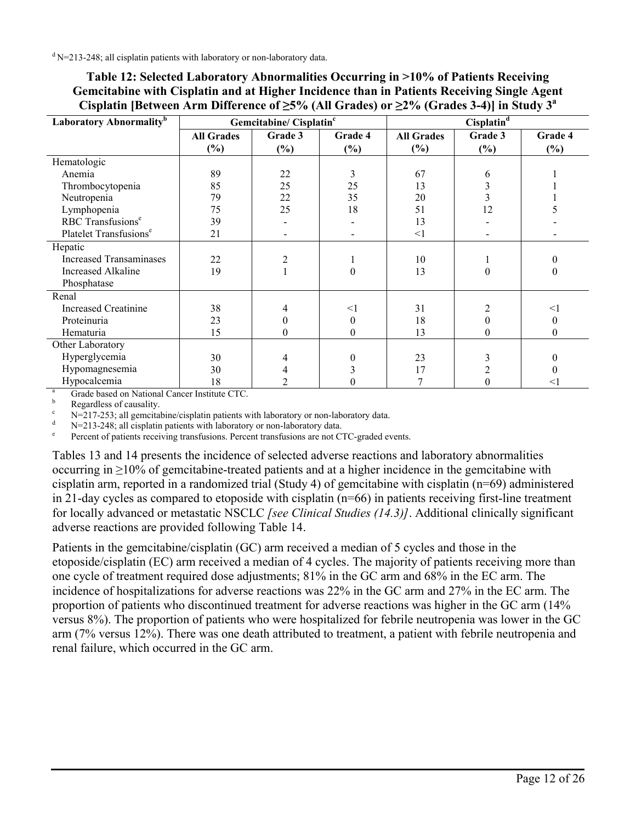| Laboratory Abnormality <sup>b</sup> | Gemcitabine/ Cisplatin <sup>c</sup> |                | Cisplatin <sup>d</sup> |                   |                |          |
|-------------------------------------|-------------------------------------|----------------|------------------------|-------------------|----------------|----------|
|                                     | <b>All Grades</b>                   | Grade 3        | Grade 4                | <b>All Grades</b> | Grade 3        | Grade 4  |
|                                     | $(\%)$                              | (%)            | $(\%)$                 | (%)               | $(\%)$         | (%)      |
| Hematologic                         |                                     |                |                        |                   |                |          |
| Anemia                              | 89                                  | 22             | 3                      | 67                | 6              |          |
| Thrombocytopenia                    | 85                                  | 25             | 25                     | 13                | 3              |          |
| Neutropenia                         | 79                                  | 22             | 35                     | 20                | 3              |          |
| Lymphopenia                         | 75                                  | 25             | 18                     | 51                | 12             |          |
| RBC Transfusions <sup>e</sup>       | 39                                  |                |                        | 13                |                |          |
| Platelet Transfusions <sup>e</sup>  | 21                                  |                |                        | $\leq$ 1          |                |          |
| Hepatic                             |                                     |                |                        |                   |                |          |
| <b>Increased Transaminases</b>      | 22                                  | $\overline{2}$ |                        | 10                |                |          |
| <b>Increased Alkaline</b>           | 19                                  |                | 0                      | 13                | $\theta$       | 0        |
| Phosphatase                         |                                     |                |                        |                   |                |          |
| Renal                               |                                     |                |                        |                   |                |          |
| <b>Increased Creatinine</b>         | 38                                  |                | $<$ 1                  | 31                | $\mathfrak{D}$ | $<$ 1    |
| Proteinuria                         | 23                                  | $\theta$       | 0                      | 18                | $\theta$       | 0        |
| Hematuria                           | 15                                  | $\theta$       | $\theta$               | 13                | 0              | $\theta$ |
| Other Laboratory                    |                                     |                |                        |                   |                |          |
| Hyperglycemia                       | 30                                  |                |                        | 23                |                |          |
| Hypomagnesemia                      | 30                                  |                |                        | 17                |                |          |
| Hypocalcemia                        | 18                                  |                |                        |                   |                | <1       |

| Table 12: Selected Laboratory Abnormalities Occurring in >10% of Patients Receiving                            |
|----------------------------------------------------------------------------------------------------------------|
| Gemcitabine with Cisplatin and at Higher Incidence than in Patients Receiving Single Agent                     |
| Cisplatin [Between Arm Difference of $\geq$ 5% (All Grades) or $\geq$ 2% (Grades 3-4)] in Study 3 <sup>a</sup> |

 $\frac{a}{b}$  Grade based on National Cancer Institute CTC.

 $\frac{b}{c}$  Regardless of causality.

N=217-253; all gemcitabine/cisplatin patients with laboratory or non-laboratory data.

N=213-248; all cisplatin patients with laboratory or non-laboratory data.

e Percent of patients receiving transfusions. Percent transfusions are not CTC-graded events.

Tables 13 and 14 presents the incidence of selected adverse reactions and laboratory abnormalities occurring in ≥10% of gemcitabine-treated patients and at a higher incidence in the gemcitabine with cisplatin arm, reported in a randomized trial (Study 4) of gemcitabine with cisplatin (n=69) administered in 21-day cycles as compared to etoposide with cisplatin (n=66) in patients receiving first-line treatment for locally advanced or metastatic NSCLC *[see Clinical Studies (14.3)]*. Additional clinically significant adverse reactions are provided following Table 14.

Patients in the gemcitabine/cisplatin (GC) arm received a median of 5 cycles and those in the etoposide/cisplatin (EC) arm received a median of 4 cycles. The majority of patients receiving more than one cycle of treatment required dose adjustments; 81% in the GC arm and 68% in the EC arm. The incidence of hospitalizations for adverse reactions was 22% in the GC arm and 27% in the EC arm. The proportion of patients who discontinued treatment for adverse reactions was higher in the GC arm (14% versus 8%). The proportion of patients who were hospitalized for febrile neutropenia was lower in the GC arm (7% versus 12%). There was one death attributed to treatment, a patient with febrile neutropenia and renal failure, which occurred in the GC arm.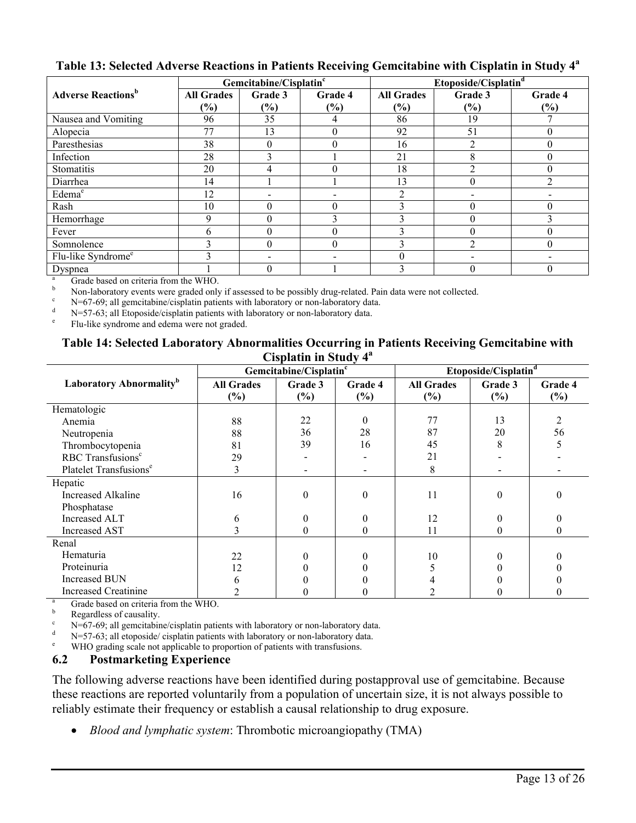|                                       |                   | Gemcitabine/Cisplatin <sup>c</sup> |          | Etoposide/Cisplatin <sup>d</sup> |                          |         |
|---------------------------------------|-------------------|------------------------------------|----------|----------------------------------|--------------------------|---------|
| <b>Adverse Reactions</b> <sup>b</sup> | <b>All Grades</b> | Grade 3                            | Grade 4  | <b>All Grades</b>                | Grade 3                  | Grade 4 |
|                                       | $(\%)$            | $(\%)$                             | $(\%)$   | (%)                              | $(\%)$                   | $(\%)$  |
| Nausea and Vomiting                   | 96                | 35                                 | 4        | 86                               | 19                       |         |
| Alopecia                              | 77                | 13                                 | $\Omega$ | 92                               | 51                       |         |
| Paresthesias                          | 38                | $\theta$                           | $\theta$ | 16                               | $\overline{2}$           |         |
| Infection                             | 28                | 3                                  |          | 21                               | 8                        |         |
| Stomatitis                            | 20                | 4                                  |          | 18                               | $\mathfrak{D}$           |         |
| Diarrhea                              | 14                |                                    |          | 13                               | $\Omega$                 |         |
| Edema <sup>e</sup>                    | 12                | $\overline{\phantom{0}}$           |          | 2                                | $\overline{\phantom{0}}$ |         |
| Rash                                  | 10                | $\theta$                           | $\Omega$ | 3                                | $\theta$                 |         |
| Hemorrhage                            | 9                 | $\theta$                           | 3        | $\mathbf{3}$                     |                          |         |
| Fever                                 | 6                 | $\theta$                           | $\Omega$ | $\mathbf{3}$                     | $\Omega$                 |         |
| Somnolence                            | 3                 | $\theta$                           | $\Omega$ | 3                                | $\overline{2}$           |         |
| Flu-like Syndrome <sup>e</sup>        | ◠                 |                                    |          | $\theta$                         |                          |         |
| Dyspnea                               |                   | $\Omega$                           |          |                                  | 0                        |         |

# **Table 13: Selected Adverse Reactions in Patients Receiving Gemcitabine with Cisplatin in Study 4<sup>a</sup>**

 $\frac{a}{b}$  Grade based on criteria from the WHO.

b Non-laboratory events were graded only if assessed to be possibly drug-related. Pain data were not collected.

 $\epsilon$  N=67-69; all gemcitabine/cisplatin patients with laboratory or non-laboratory data.

N=57-63; all Etoposide/cisplatin patients with laboratory or non-laboratory data.

e Flu-like syndrome and edema were not graded.

#### **Table 14: Selected Laboratory Abnormalities Occurring in Patients Receiving Gemcitabine with Cisplatin in Study 4<sup>a</sup>**

|                                     |                             | Gemcitabine/Cisplatin <sup>c</sup> |                |                             | Etoposide/Cisplatin <sup>d</sup> |                |  |
|-------------------------------------|-----------------------------|------------------------------------|----------------|-----------------------------|----------------------------------|----------------|--|
| Laboratory Abnormality <sup>b</sup> | <b>All Grades</b><br>$(\%)$ | Grade 3<br>$(\%)$                  | Grade 4<br>(%) | <b>All Grades</b><br>$(\%)$ | Grade 3<br>$(\%)$                | Grade 4<br>(%) |  |
| Hematologic                         |                             |                                    |                |                             |                                  |                |  |
| Anemia                              | 88                          | 22                                 | 0              | 77                          | 13                               | $\mathfrak{D}$ |  |
| Neutropenia                         | 88                          | 36                                 | 28             | 87                          | 20                               | 56             |  |
| Thrombocytopenia                    | 81                          | 39                                 | 16             | 45                          | 8                                |                |  |
| RBC Transfusions <sup>c</sup>       | 29                          |                                    |                | 21                          |                                  |                |  |
| Platelet Transfusions <sup>e</sup>  | 3                           |                                    |                | 8                           |                                  |                |  |
| Hepatic                             |                             |                                    |                |                             |                                  |                |  |
| <b>Increased Alkaline</b>           | 16                          | $\theta$                           | 0              | 11                          | 0                                | $\theta$       |  |
| Phosphatase                         |                             |                                    |                |                             |                                  |                |  |
| <b>Increased ALT</b>                | 6                           |                                    |                | 12                          |                                  |                |  |
| <b>Increased AST</b>                | 3                           | 0                                  | $\theta$       | 11                          | $\theta$                         | 0              |  |
| Renal                               |                             |                                    |                |                             |                                  |                |  |
| Hematuria                           | 22                          |                                    |                | 10                          |                                  |                |  |
| Proteinuria                         | 12                          |                                    |                |                             |                                  |                |  |
| <b>Increased BUN</b>                | h                           |                                    |                |                             |                                  |                |  |
| <b>Increased Creatinine</b>         |                             |                                    |                |                             |                                  | 0              |  |
| $\alpha$ 11 1 $\alpha$              | 1.37777                     |                                    |                |                             |                                  |                |  |

 $\frac{a}{b}$  Grade based on criteria from the WHO.

b Regardless of causality.

<sup>c</sup> N=67-69; all gemcitabine/cisplatin patients with laboratory or non-laboratory data.<br>N=57.63; all etoposide/cisplatin patients with laboratory or non-laboratory data.

 $N=57-63$ ; all etoposide/ cisplatin patients with laboratory or non-laboratory data.

WHO grading scale not applicable to proportion of patients with transfusions.

# **6.2 Postmarketing Experience**

The following adverse reactions have been identified during postapproval use of gemcitabine. Because these reactions are reported voluntarily from a population of uncertain size, it is not always possible to reliably estimate their frequency or establish a causal relationship to drug exposure.

*Blood and lymphatic system*: Thrombotic microangiopathy (TMA)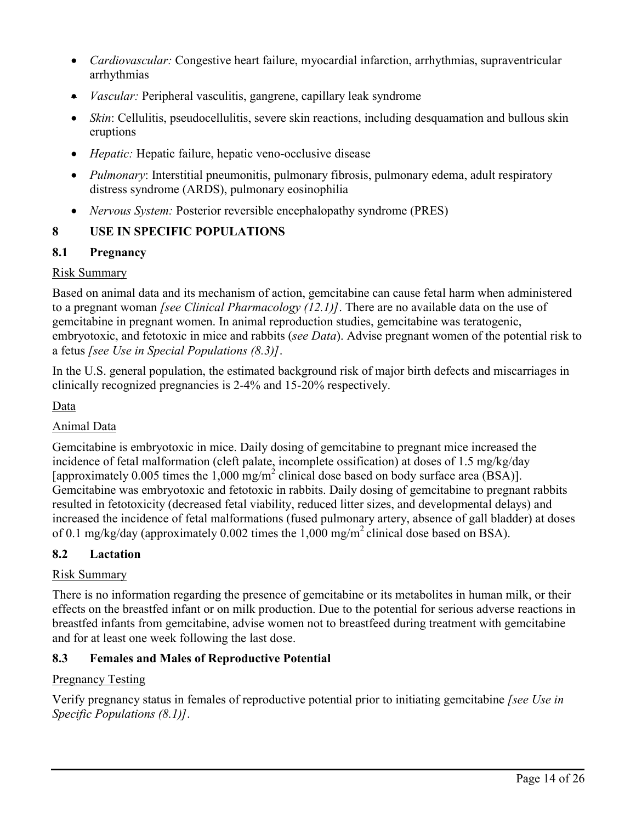- *Cardiovascular:* Congestive heart failure, myocardial infarction, arrhythmias, supraventricular arrhythmias
- *Vascular:* Peripheral vasculitis, gangrene, capillary leak syndrome
- *Skin*: Cellulitis, pseudocellulitis, severe skin reactions, including desquamation and bullous skin eruptions
- *Hepatic:* Hepatic failure, hepatic veno-occlusive disease
- *Pulmonary*: Interstitial pneumonitis, pulmonary fibrosis, pulmonary edema, adult respiratory distress syndrome (ARDS), pulmonary eosinophilia
- *Nervous System:* Posterior reversible encephalopathy syndrome (PRES)

# **8 USE IN SPECIFIC POPULATIONS**

# **8.1 Pregnancy**

# Risk Summary

Based on animal data and its mechanism of action, gemcitabine can cause fetal harm when administered to a pregnant woman *[see Clinical Pharmacology (12.1)]*. There are no available data on the use of gemcitabine in pregnant women. In animal reproduction studies, gemcitabine was teratogenic, embryotoxic, and fetotoxic in mice and rabbits (*see Data*). Advise pregnant women of the potential risk to a fetus *[see Use in Special Populations (8.3)]*.

In the U.S. general population, the estimated background risk of major birth defects and miscarriages in clinically recognized pregnancies is 2-4% and 15-20% respectively.

# Data

# Animal Data

Gemcitabine is embryotoxic in mice. Daily dosing of gemcitabine to pregnant mice increased the incidence of fetal malformation (cleft palate, incomplete ossification) at doses of 1.5 mg/kg/day [approximately 0.005 times the 1,000 mg/m<sup>2</sup> clinical dose based on body surface area (BSA)]. Gemcitabine was embryotoxic and fetotoxic in rabbits. Daily dosing of gemcitabine to pregnant rabbits resulted in fetotoxicity (decreased fetal viability, reduced litter sizes, and developmental delays) and increased the incidence of fetal malformations (fused pulmonary artery, absence of gall bladder) at doses of 0.1 mg/kg/day (approximately 0.002 times the  $1,000$  mg/m<sup>2</sup> clinical dose based on BSA).

# **8.2 Lactation**

# Risk Summary

There is no information regarding the presence of gemcitabine or its metabolites in human milk, or their effects on the breastfed infant or on milk production. Due to the potential for serious adverse reactions in breastfed infants from gemcitabine, advise women not to breastfeed during treatment with gemcitabine and for at least one week following the last dose.

# **8.3 Females and Males of Reproductive Potential**

# Pregnancy Testing

Verify pregnancy status in females of reproductive potential prior to initiating gemcitabine *[see Use in Specific Populations (8.1)]*.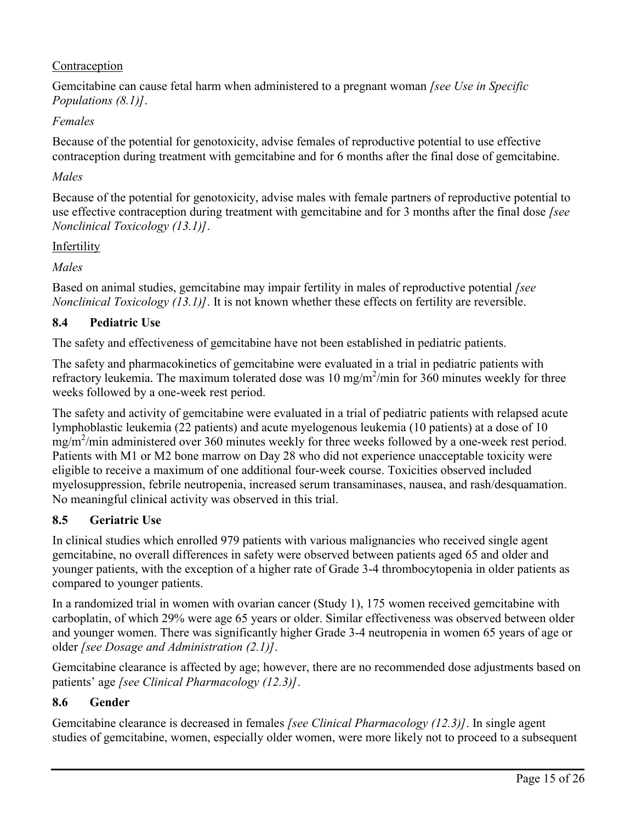# Contraception

Gemcitabine can cause fetal harm when administered to a pregnant woman *[see Use in Specific Populations (8.1)]*.

# *Females*

Because of the potential for genotoxicity, advise females of reproductive potential to use effective contraception during treatment with gemcitabine and for 6 months after the final dose of gemcitabine.

# *Males*

Because of the potential for genotoxicity, advise males with female partners of reproductive potential to use effective contraception during treatment with gemcitabine and for 3 months after the final dose *[see Nonclinical Toxicology (13.1)]*.

## Infertility

*Males*

Based on animal studies, gemcitabine may impair fertility in males of reproductive potential *[see Nonclinical Toxicology (13.1)]*. It is not known whether these effects on fertility are reversible.

# **8.4 Pediatric Use**

The safety and effectiveness of gemcitabine have not been established in pediatric patients.

The safety and pharmacokinetics of gemcitabine were evaluated in a trial in pediatric patients with refractory leukemia. The maximum tolerated dose was  $10 \text{ mg/m}^2/\text{min}$  for  $360 \text{ minutes}$  weekly for three weeks followed by a one-week rest period.

The safety and activity of gemcitabine were evaluated in a trial of pediatric patients with relapsed acute lymphoblastic leukemia (22 patients) and acute myelogenous leukemia (10 patients) at a dose of 10 mg/m<sup>2</sup>/min administered over 360 minutes weekly for three weeks followed by a one-week rest period. Patients with M1 or M2 bone marrow on Day 28 who did not experience unacceptable toxicity were eligible to receive a maximum of one additional four-week course. Toxicities observed included myelosuppression, febrile neutropenia, increased serum transaminases, nausea, and rash/desquamation. No meaningful clinical activity was observed in this trial.

# **8.5 Geriatric Use**

In clinical studies which enrolled 979 patients with various malignancies who received single agent gemcitabine, no overall differences in safety were observed between patients aged 65 and older and younger patients, with the exception of a higher rate of Grade 3-4 thrombocytopenia in older patients as compared to younger patients.

In a randomized trial in women with ovarian cancer (Study 1), 175 women received gemcitabine with carboplatin, of which 29% were age 65 years or older. Similar effectiveness was observed between older and younger women. There was significantly higher Grade 3-4 neutropenia in women 65 years of age or older *[see Dosage and Administration (2.1)]*.

Gemcitabine clearance is affected by age; however, there are no recommended dose adjustments based on patients' age *[see Clinical Pharmacology (12.3)]*.

# **8.6 Gender**

Gemcitabine clearance is decreased in females *[see Clinical Pharmacology (12.3)]*. In single agent studies of gemcitabine, women, especially older women, were more likely not to proceed to a subsequent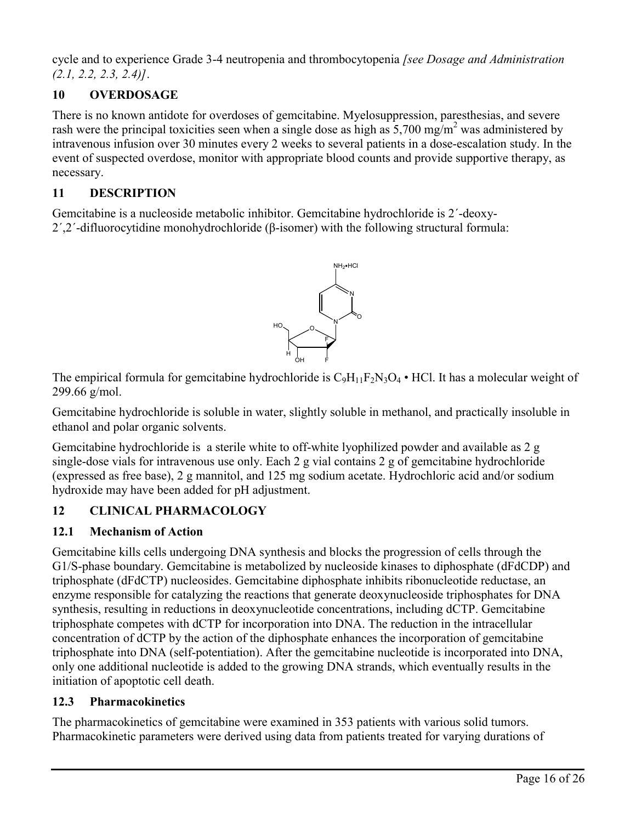cycle and to experience Grade 3-4 neutropenia and thrombocytopenia *[see Dosage and Administration (2.1, 2.2, 2.3, 2.4)]*.

# **10 OVERDOSAGE**

There is no known antidote for overdoses of gemcitabine. Myelosuppression, paresthesias, and severe rash were the principal toxicities seen when a single dose as high as  $5,700$  mg/m<sup>2</sup> was administered by intravenous infusion over 30 minutes every 2 weeks to several patients in a dose-escalation study. In the event of suspected overdose, monitor with appropriate blood counts and provide supportive therapy, as necessary.

# **11 DESCRIPTION**

Gemcitabine is a nucleoside metabolic inhibitor. Gemcitabine hydrochloride is 2´-deoxy-2´,2´-difluorocytidine monohydrochloride (β-isomer) with the following structural formula:



The empirical formula for gemcitabine hydrochloride is  $C_9H_{11}F_2N_3O_4$  • HCl. It has a molecular weight of 299.66 g/mol.

Gemcitabine hydrochloride is soluble in water, slightly soluble in methanol, and practically insoluble in ethanol and polar organic solvents.

Gemcitabine hydrochloride is a sterile white to off-white lyophilized powder and available as 2 g single-dose vials for intravenous use only. Each 2 g vial contains 2 g of gemcitabine hydrochloride (expressed as free base), 2 g mannitol, and 125 mg sodium acetate. Hydrochloric acid and/or sodium hydroxide may have been added for pH adjustment.

# **12 CLINICAL PHARMACOLOGY**

# **12.1 Mechanism of Action**

Gemcitabine kills cells undergoing DNA synthesis and blocks the progression of cells through the G1/S-phase boundary. Gemcitabine is metabolized by nucleoside kinases to diphosphate (dFdCDP) and triphosphate (dFdCTP) nucleosides. Gemcitabine diphosphate inhibits ribonucleotide reductase, an enzyme responsible for catalyzing the reactions that generate deoxynucleoside triphosphates for DNA synthesis, resulting in reductions in deoxynucleotide concentrations, including dCTP. Gemcitabine triphosphate competes with dCTP for incorporation into DNA. The reduction in the intracellular concentration of dCTP by the action of the diphosphate enhances the incorporation of gemcitabine triphosphate into DNA (self-potentiation). After the gemcitabine nucleotide is incorporated into DNA, only one additional nucleotide is added to the growing DNA strands, which eventually results in the initiation of apoptotic cell death.

# **12.3 Pharmacokinetics**

The pharmacokinetics of gemcitabine were examined in 353 patients with various solid tumors. Pharmacokinetic parameters were derived using data from patients treated for varying durations of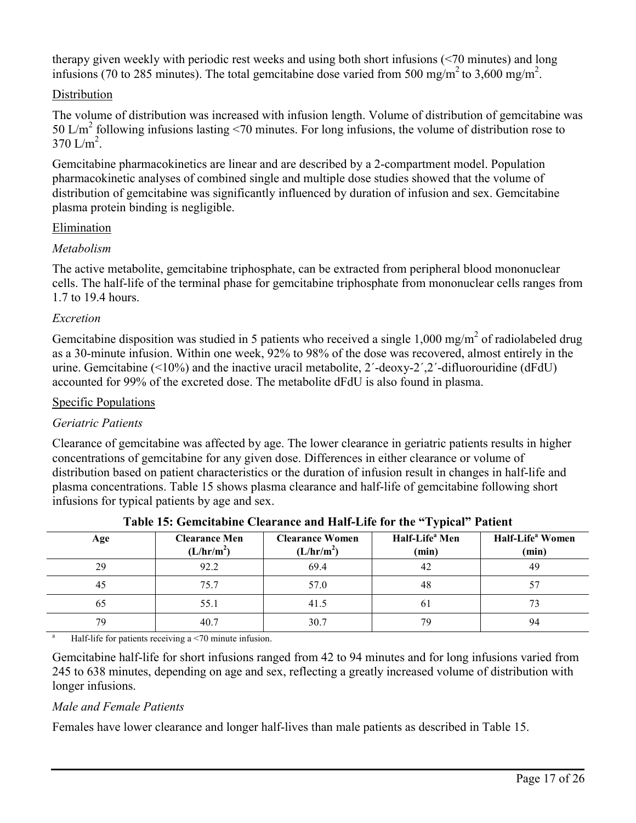therapy given weekly with periodic rest weeks and using both short infusions (<70 minutes) and long infusions (70 to 285 minutes). The total gemcitabine dose varied from 500 mg/m<sup>2</sup> to 3,600 mg/m<sup>2</sup>.

## Distribution

The volume of distribution was increased with infusion length. Volume of distribution of gemcitabine was 50 L/m<sup>2</sup> following infusions lasting <70 minutes. For long infusions, the volume of distribution rose to  $370 \text{ L/m}^2$ .

Gemcitabine pharmacokinetics are linear and are described by a 2-compartment model. Population pharmacokinetic analyses of combined single and multiple dose studies showed that the volume of distribution of gemcitabine was significantly influenced by duration of infusion and sex. Gemcitabine plasma protein binding is negligible.

## Elimination

## *Metabolism*

The active metabolite, gemcitabine triphosphate, can be extracted from peripheral blood mononuclear cells. The half-life of the terminal phase for gemcitabine triphosphate from mononuclear cells ranges from 1.7 to 19.4 hours.

## *Excretion*

Gemcitabine disposition was studied in 5 patients who received a single 1,000 mg/m<sup>2</sup> of radiolabeled drug as a 30-minute infusion. Within one week, 92% to 98% of the dose was recovered, almost entirely in the urine. Gemcitabine (<10%) and the inactive uracil metabolite, 2´-deoxy-2´,2´-difluorouridine (dFdU) accounted for 99% of the excreted dose. The metabolite dFdU is also found in plasma.

## Specific Populations

# *Geriatric Patients*

Clearance of gemcitabine was affected by age. The lower clearance in geriatric patients results in higher concentrations of gemcitabine for any given dose. Differences in either clearance or volume of distribution based on patient characteristics or the duration of infusion result in changes in half-life and plasma concentrations. Table 15 shows plasma clearance and half-life of gemcitabine following short infusions for typical patients by age and sex.

| Age | <b>Clearance Men</b><br>(L/hr/m <sup>2</sup> ) | <b>Clearance Women</b><br>(L/hr/m <sup>2</sup> ) | Half-Life <sup>a</sup> Men<br>(min) | Half-Life <sup>a</sup> Women<br>(min) |
|-----|------------------------------------------------|--------------------------------------------------|-------------------------------------|---------------------------------------|
| 29  | 92.2                                           | 69.4                                             | 42                                  | 49                                    |
| 45  | 75.7                                           | 57.0                                             | 48                                  |                                       |
| 65  | 55.1                                           | 41.5                                             | 61                                  |                                       |
| 79  | 40.7                                           | 30.7                                             | 79                                  | 94                                    |

**Table 15: Gemcitabine Clearance and Half-Life for the "Typical" Patient**

<sup>a</sup> Half-life for patients receiving a  $\leq$  70 minute infusion.

Gemcitabine half-life for short infusions ranged from 42 to 94 minutes and for long infusions varied from 245 to 638 minutes, depending on age and sex, reflecting a greatly increased volume of distribution with longer infusions.

# *Male and Female Patients*

Females have lower clearance and longer half-lives than male patients as described in Table 15.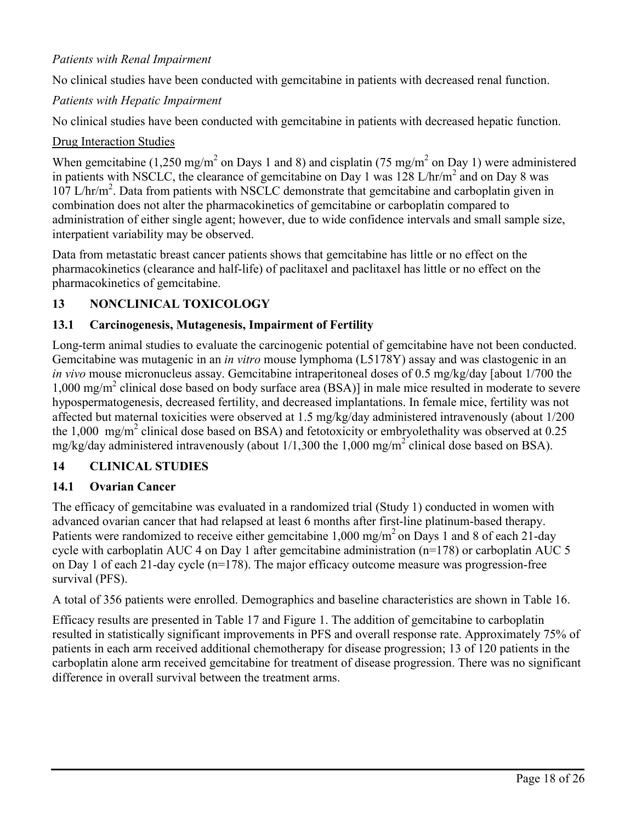# *Patients with Renal Impairment*

No clinical studies have been conducted with gemcitabine in patients with decreased renal function.

## *Patients with Hepatic Impairment*

No clinical studies have been conducted with gemcitabine in patients with decreased hepatic function.

## Drug Interaction Studies

When gemcitabine (1,250 mg/m<sup>2</sup> on Days 1 and 8) and cisplatin (75 mg/m<sup>2</sup> on Day 1) were administered in patients with NSCLC, the clearance of gemcitabine on Day 1 was  $128 \text{ L/hr/m}^2$  and on Day 8 was 107 L/hr/m<sup>2</sup>. Data from patients with NSCLC demonstrate that gemcitabine and carboplatin given in combination does not alter the pharmacokinetics of gemcitabine or carboplatin compared to administration of either single agent; however, due to wide confidence intervals and small sample size, interpatient variability may be observed.

Data from metastatic breast cancer patients shows that gemcitabine has little or no effect on the pharmacokinetics (clearance and half-life) of paclitaxel and paclitaxel has little or no effect on the pharmacokinetics of gemcitabine.

## **13 NONCLINICAL TOXICOLOGY**

## **13.1 Carcinogenesis, Mutagenesis, Impairment of Fertility**

Long-term animal studies to evaluate the carcinogenic potential of gemcitabine have not been conducted. Gemcitabine was mutagenic in an *in vitro* mouse lymphoma (L5178Y) assay and was clastogenic in an *in vivo* mouse micronucleus assay. Gemcitabine intraperitoneal doses of 0.5 mg/kg/day [about 1/700 the 1,000 mg/m<sup>2</sup> clinical dose based on body surface area (BSA)] in male mice resulted in moderate to severe hypospermatogenesis, decreased fertility, and decreased implantations. In female mice, fertility was not affected but maternal toxicities were observed at 1.5 mg/kg/day administered intravenously (about 1/200 the 1,000 mg/m<sup>2</sup> clinical dose based on BSA) and fetotoxicity or embryolethality was observed at  $0.25$ mg/kg/day administered intravenously (about  $1/1,300$  the  $1,000$  mg/m<sup>2</sup> clinical dose based on BSA).

## **14 CLINICAL STUDIES**

## **14.1 Ovarian Cancer**

The efficacy of gemcitabine was evaluated in a randomized trial (Study 1) conducted in women with advanced ovarian cancer that had relapsed at least 6 months after first-line platinum-based therapy. Patients were randomized to receive either gemcitabine  $1,000$  mg/m<sup>2</sup> on Days 1 and 8 of each 21-day cycle with carboplatin AUC 4 on Day 1 after gemcitabine administration (n=178) or carboplatin AUC 5 on Day 1 of each 21-day cycle (n=178). The major efficacy outcome measure was progression-free survival (PFS).

A total of 356 patients were enrolled. Demographics and baseline characteristics are shown in Table 16.

Efficacy results are presented in Table 17 and Figure 1. The addition of gemcitabine to carboplatin resulted in statistically significant improvements in PFS and overall response rate. Approximately 75% of patients in each arm received additional chemotherapy for disease progression; 13 of 120 patients in the carboplatin alone arm received gemcitabine for treatment of disease progression. There was no significant difference in overall survival between the treatment arms.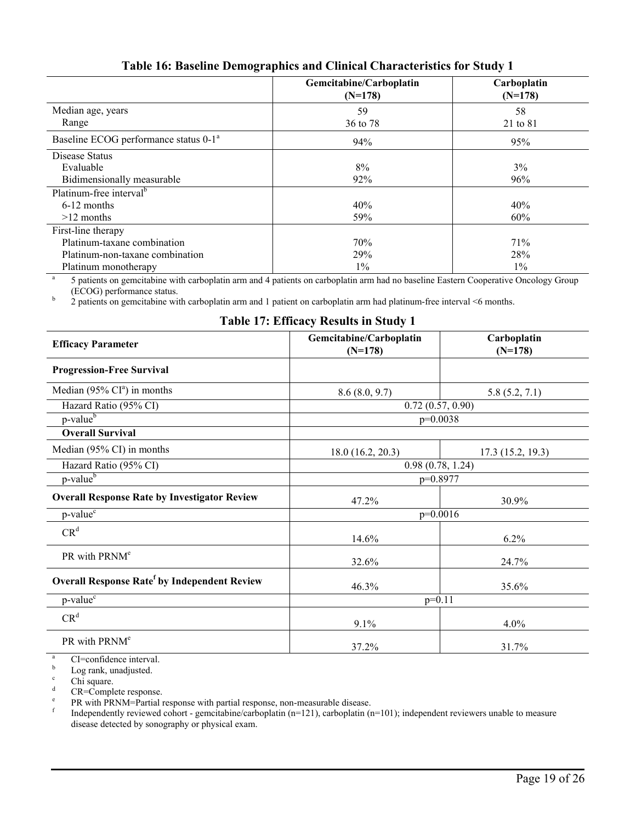|                                                   | Gemcitabine/Carboplatin<br>$(N=178)$ | Carboplatin<br>$(N=178)$ |  |  |  |  |
|---------------------------------------------------|--------------------------------------|--------------------------|--|--|--|--|
| Median age, years<br>Range                        | 59                                   | 58                       |  |  |  |  |
|                                                   | 36 to 78                             | 21 to 81                 |  |  |  |  |
| Baseline ECOG performance status 0-1 <sup>a</sup> | 94%                                  | 95%                      |  |  |  |  |
| Disease Status                                    |                                      |                          |  |  |  |  |
| Evaluable                                         | 8%                                   | 3%                       |  |  |  |  |
| Bidimensionally measurable                        | 92%                                  | 96%                      |  |  |  |  |
| Platinum-free interval <sup>b</sup>               |                                      |                          |  |  |  |  |
| $6-12$ months                                     | 40%                                  | 40%                      |  |  |  |  |
| $>12$ months                                      | 59%                                  | 60%                      |  |  |  |  |
| First-line therapy                                |                                      |                          |  |  |  |  |
| Platinum-taxane combination                       | 70%                                  | 71%                      |  |  |  |  |
| Platinum-non-taxane combination                   | 29%                                  | 28%                      |  |  |  |  |
| Platinum monotherapy                              | $1\%$                                | $1\%$                    |  |  |  |  |

# **Table 16: Baseline Demographics and Clinical Characteristics for Study 1**

a 5 patients on gemcitabine with carboplatin arm and 4 patients on carboplatin arm had no baseline Eastern Cooperative Oncology Group (ECOG) performance status.

b 2 patients on gemcitabine with carboplatin arm and 1 patient on carboplatin arm had platinum-free interval <6 months.

## **Table 17: Efficacy Results in Study 1**

| <b>Efficacy Parameter</b>                           | Gemcitabine/Carboplatin<br>$(N=178)$ | Carboplatin<br>$(N=178)$ |  |
|-----------------------------------------------------|--------------------------------------|--------------------------|--|
| <b>Progression-Free Survival</b>                    |                                      |                          |  |
| Median (95% $CIa$ ) in months                       | 8.6(8.0, 9.7)                        | 5.8(5.2, 7.1)            |  |
| Hazard Ratio (95% CI)                               | 0.72(0.57, 0.90)                     |                          |  |
| $p$ -value $\overline{b}$                           | $p=0.0038$                           |                          |  |
| <b>Overall Survival</b>                             |                                      |                          |  |
| Median (95% CI) in months                           | 18.0(16.2, 20.3)                     | 17.3(15.2, 19.3)         |  |
| Hazard Ratio (95% CI)                               | 0.98(0.78, 1.24)                     |                          |  |
| p-value <sup>b</sup>                                | p=0.8977                             |                          |  |
| <b>Overall Response Rate by Investigator Review</b> | 47.2%                                | 30.9%                    |  |
| p-value <sup>c</sup>                                | $p=0.0016$                           |                          |  |
| CR <sup>d</sup>                                     | 14.6%                                | 6.2%                     |  |
| PR with PRNM <sup>e</sup>                           | 32.6%                                | 24.7%                    |  |
| <b>Overall Response Ratef by Independent Review</b> | 46.3%                                | 35.6%                    |  |
| p-value <sup>c</sup>                                | $p=0.11$                             |                          |  |
| CR <sup>d</sup>                                     | 9.1%                                 | 4.0%                     |  |
| PR with PRNM <sup>e</sup>                           | 37.2%                                | 31.7%                    |  |

 $\frac{a}{b}$  CI=confidence interval.

 $\frac{b}{c}$  Log rank, unadjusted.

 $\frac{c}{d}$  Chi square.

CR=Complete response.

e PR with PRNM=Partial response with partial response, non-measurable disease.

f Independently reviewed cohort - gemcitabine/carboplatin (n=121), carboplatin (n=101); independent reviewers unable to measure disease detected by sonography or physical exam.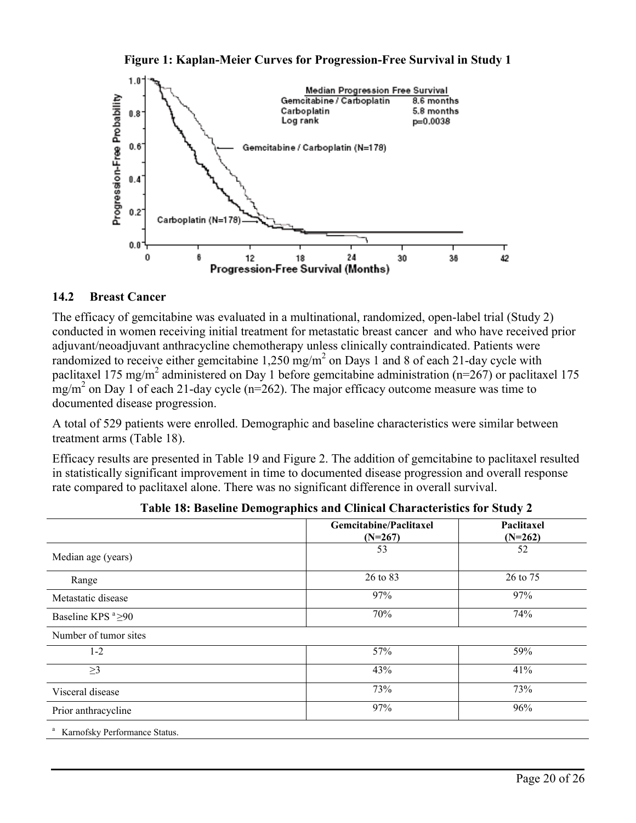



### **14.2 Breast Cancer**

The efficacy of gemcitabine was evaluated in a multinational, randomized, open-label trial (Study 2) conducted in women receiving initial treatment for metastatic breast cancer and who have received prior adjuvant/neoadjuvant anthracycline chemotherapy unless clinically contraindicated. Patients were randomized to receive either gemcitabine  $1,250 \text{ mg/m}^2$  on Days 1 and 8 of each 21-day cycle with paclitaxel 175 mg/m<sup>2</sup> administered on Day 1 before gemcitabine administration (n=267) or paclitaxel 175  $\text{mg/m}^2$  on Day 1 of each 21-day cycle (n=262). The major efficacy outcome measure was time to documented disease progression.

A total of 529 patients were enrolled. Demographic and baseline characteristics were similar between treatment arms (Table 18).

Efficacy results are presented in Table 19 and Figure 2. The addition of gemcitabine to paclitaxel resulted in statistically significant improvement in time to documented disease progression and overall response rate compared to paclitaxel alone. There was no significant difference in overall survival.

|                                                  | Gemcitabine/Paclitaxel<br>$(N=267)$ | Paclitaxel<br>$(N=262)$ |
|--------------------------------------------------|-------------------------------------|-------------------------|
| Median age (years)                               | 53                                  | 52                      |
| Range                                            | 26 to 83                            | 26 to 75                |
| Metastatic disease                               | 97%                                 | 97%                     |
| Baseline KPS <sup><math>a</math></sup> $\geq$ 90 | 70%                                 | 74%                     |
| Number of tumor sites                            |                                     |                         |
| $1 - 2$                                          | 57%                                 | 59%                     |
| $\geq$ 3                                         | 43%                                 | 41%                     |
| Visceral disease                                 | 73%                                 | 73%                     |
| Prior anthracycline                              | 97%                                 | 96%                     |
| Karnofsky Performance Status.                    |                                     |                         |

|  |  |  | Table 18: Baseline Demographics and Clinical Characteristics for Study 2 |  |  |
|--|--|--|--------------------------------------------------------------------------|--|--|
|  |  |  |                                                                          |  |  |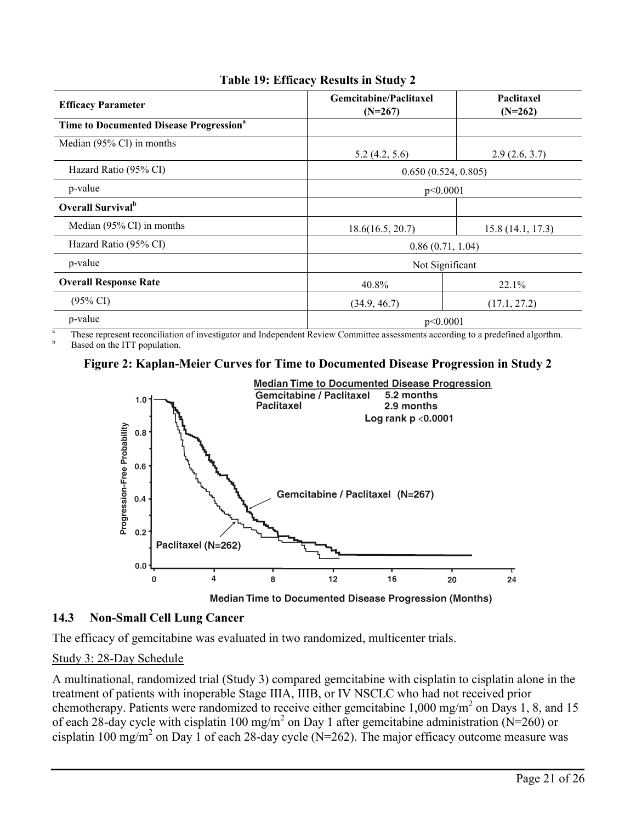| <b>Efficacy Parameter</b>                           | Gemcitabine/Paclitaxel<br>$(N=267)$ | Paclitaxel<br>$(N=262)$ |  |  |
|-----------------------------------------------------|-------------------------------------|-------------------------|--|--|
| Time to Documented Disease Progression <sup>a</sup> |                                     |                         |  |  |
| Median (95% CI) in months                           | 5.2(4.2, 5.6)                       | 2.9(2.6, 3.7)           |  |  |
| Hazard Ratio (95% CI)                               | 0.650(0.524, 0.805)                 |                         |  |  |
| p-value                                             | p<0.0001                            |                         |  |  |
| <b>Overall Survival</b> <sup>b</sup>                |                                     |                         |  |  |
| Median $(95\% \text{ CI})$ in months                | 18.6(16.5, 20.7)                    | 15.8(14.1, 17.3)        |  |  |
| Hazard Ratio (95% CI)                               |                                     | 0.86(0.71, 1.04)        |  |  |
| p-value                                             |                                     | Not Significant         |  |  |
| <b>Overall Response Rate</b>                        | 40.8%                               | 22.1%                   |  |  |
| $(95\% \text{ CI})$                                 | (34.9, 46.7)                        | (17.1, 27.2)            |  |  |
| p-value                                             | p<0.0001                            |                         |  |  |

# **Table 19: Efficacy Results in Study 2**

<sup>a</sup> These represent reconciliation of investigator and Independent Review Committee assessments according to a predefined algorthm. Based on the ITT population.

## **Figure 2: Kaplan-Meier Curves for Time to Documented Disease Progression in Study 2**



Median Time to Documented Disease Progression (Months)

# **14.3 Non-Small Cell Lung Cancer**

The efficacy of gemcitabine was evaluated in two randomized, multicenter trials.

# Study 3: 28-Day Schedule

A multinational, randomized trial (Study 3) compared gemcitabine with cisplatin to cisplatin alone in the treatment of patients with inoperable Stage IIIA, IIIB, or IV NSCLC who had not received prior chemotherapy. Patients were randomized to receive either gemcitabine  $1,000$  mg/m<sup>2</sup> on Days 1, 8, and 15 of each 28-day cycle with cisplatin 100 mg/m<sup>2</sup> on Day 1 after gemcitabine administration (N=260) or cisplatin 100 mg/m<sup>2</sup> on Day 1 of each 28-day cycle (N=262). The major efficacy outcome measure was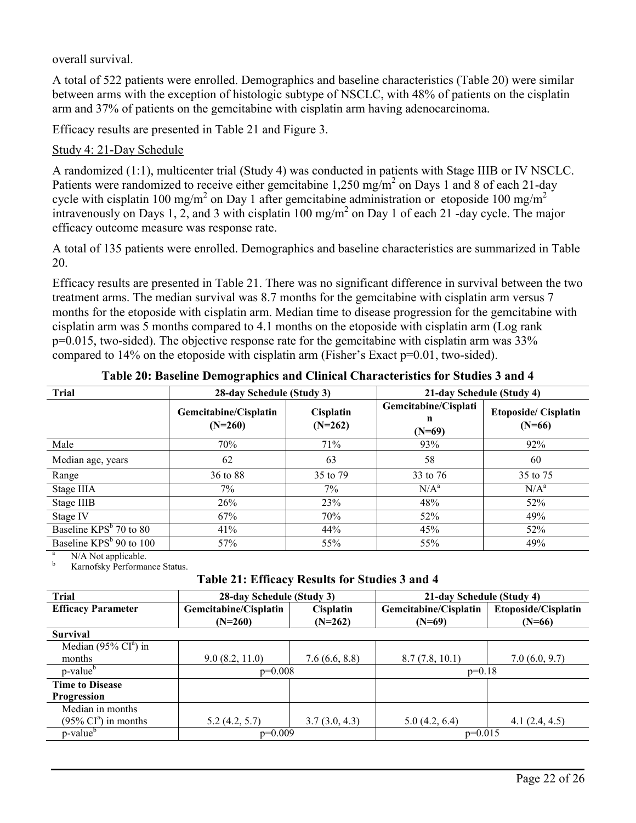overall survival.

A total of 522 patients were enrolled. Demographics and baseline characteristics (Table 20) were similar between arms with the exception of histologic subtype of NSCLC, with 48% of patients on the cisplatin arm and 37% of patients on the gemcitabine with cisplatin arm having adenocarcinoma.

Efficacy results are presented in Table 21 and Figure 3.

# Study 4: 21-Day Schedule

A randomized (1:1), multicenter trial (Study 4) was conducted in patients with Stage IIIB or IV NSCLC. Patients were randomized to receive either gemcitabine 1,250 mg/m<sup>2</sup> on Days 1 and 8 of each 21-day cycle with cisplatin 100 mg/m<sup>2</sup> on Day 1 after gemcitabine administration or etoposide 100 mg/m<sup>2</sup> intravenously on Days 1, 2, and 3 with cisplatin  $100 \text{ mg/m}^2$  on Day 1 of each 21 -day cycle. The major efficacy outcome measure was response rate.

A total of 135 patients were enrolled. Demographics and baseline characteristics are summarized in Table 20.

Efficacy results are presented in Table 21. There was no significant difference in survival between the two treatment arms. The median survival was 8.7 months for the gemcitabine with cisplatin arm versus 7 months for the etoposide with cisplatin arm. Median time to disease progression for the gemcitabine with cisplatin arm was 5 months compared to 4.1 months on the etoposide with cisplatin arm (Log rank  $p=0.015$ , two-sided). The objective response rate for the gemcitabine with cisplatin arm was  $33\%$ compared to 14% on the etoposide with cisplatin arm (Fisher's Exact p=0.01, two-sided).

| <b>Trial</b>                        | 28-day Schedule (Study 3)          |                        | 21-day Schedule (Study 4)             |                                        |
|-------------------------------------|------------------------------------|------------------------|---------------------------------------|----------------------------------------|
|                                     | Gemcitabine/Cisplatin<br>$(N=260)$ | Cisplatin<br>$(N=262)$ | Gemcitabine/Cisplati<br>n<br>$(N=69)$ | <b>Etoposide/Cisplatin</b><br>$(N=66)$ |
| Male                                | 70%                                | 71%                    | 93%                                   | 92%                                    |
| Median age, years                   | 62                                 | 63                     | 58                                    | 60                                     |
| Range                               | 36 to 88                           | 35 to 79               | 33 to 76                              | 35 to 75                               |
| Stage IIIA                          | 7%                                 | 7%                     | $N/A^a$                               | $N/A^a$                                |
| Stage IIIB                          | 26%                                | 23%                    | 48%                                   | 52%                                    |
| Stage IV                            | 67%                                | 70%                    | 52%                                   | 49%                                    |
| Baseline KPS <sup>b</sup> 70 to 80  | 41%                                | 44%                    | 45%                                   | 52%                                    |
| Baseline KPS <sup>b</sup> 90 to 100 | 57%                                | 55%                    | 55%                                   | 49%                                    |

**Table 20: Baseline Demographics and Clinical Characteristics for Studies 3 and 4**

N/A Not applicable.

Karnofsky Performance Status.

**Table 21: Efficacy Results for Studies 3 and 4**

| Trial                                    | 28-day Schedule (Study 3) |               | 21-day Schedule (Study 4) |                     |  |
|------------------------------------------|---------------------------|---------------|---------------------------|---------------------|--|
| <b>Efficacy Parameter</b>                | Gemcitabine/Cisplatin     | Cisplatin     | Gemcitabine/Cisplatin     | Etoposide/Cisplatin |  |
|                                          | $(N=260)$                 | $(N=262)$     | $(N=69)$                  | $(N=66)$            |  |
| <b>Survival</b>                          |                           |               |                           |                     |  |
| Median $(95\% \text{ CI}^{\text{a}})$ in |                           |               |                           |                     |  |
| months                                   | 9.0(8.2, 11.0)            | 7.6(6.6, 8.8) | 8.7(7.8, 10.1)            | 7.0(6.0, 9.7)       |  |
| p-value <sup>b</sup>                     | $p=0.008$                 |               | $p=0.18$                  |                     |  |
| <b>Time to Disease</b>                   |                           |               |                           |                     |  |
| Progression                              |                           |               |                           |                     |  |
| Median in months                         |                           |               |                           |                     |  |
| $(95\% \text{ CI}^{\text{a}})$ in months | 5.2(4.2, 5.7)             | 3.7(3.0, 4.3) | 5.0(4.2, 6.4)             | 4.1(2.4, 4.5)       |  |
| p-value <sup>b</sup>                     | $p=0.009$                 |               | $p=0.015$                 |                     |  |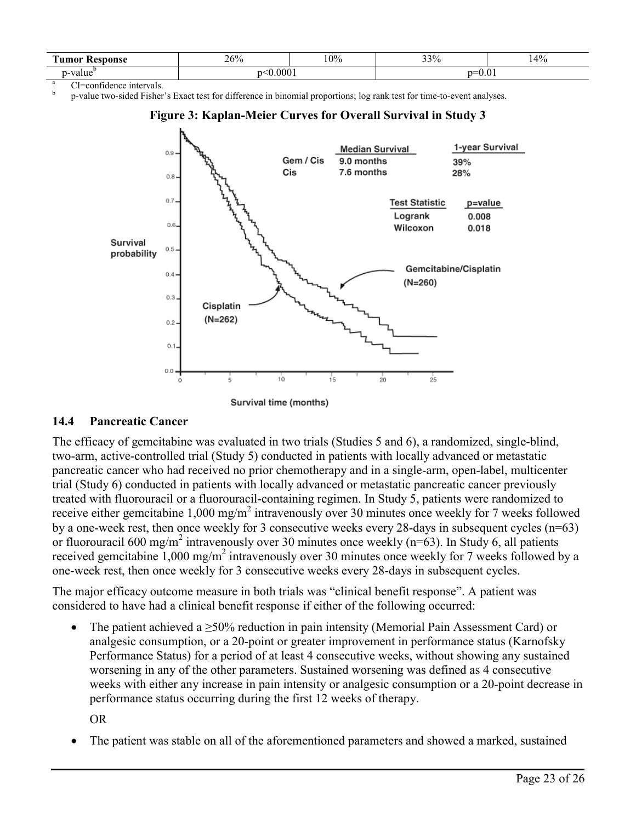| m<br>Kesnonse<br>`llMAF | 26% | 0% | 33%  | 14%<br>/ O |
|-------------------------|-----|----|------|------------|
| <b>TIO</b> 11<br>aiut/  | 000 |    | U.VI |            |

CI=confidence intervals.

b p-value two-sided Fisher's Exact test for difference in binomial proportions; log rank test for time-to-event analyses.



### **Figure 3: Kaplan-Meier Curves for Overall Survival in Study 3**

### **14.4 Pancreatic Cancer**

The efficacy of gemcitabine was evaluated in two trials (Studies 5 and 6), a randomized, single-blind, two-arm, active-controlled trial (Study 5) conducted in patients with locally advanced or metastatic pancreatic cancer who had received no prior chemotherapy and in a single-arm, open-label, multicenter trial (Study 6) conducted in patients with locally advanced or metastatic pancreatic cancer previously treated with fluorouracil or a fluorouracil-containing regimen. In Study 5, patients were randomized to receive either gemcitabine  $1,000 \text{ mg/m}^2$  intravenously over 30 minutes once weekly for 7 weeks followed by a one-week rest, then once weekly for 3 consecutive weeks every 28-days in subsequent cycles (n=63) or fluorouracil 600 mg/m<sup>2</sup> intravenously over 30 minutes once weekly ( $n=63$ ). In Study 6, all patients received gemcitabine  $1,000 \text{ mg/m}^2$  intravenously over 30 minutes once weekly for 7 weeks followed by a one-week rest, then once weekly for 3 consecutive weeks every 28-days in subsequent cycles.

The major efficacy outcome measure in both trials was "clinical benefit response". A patient was considered to have had a clinical benefit response if either of the following occurred:

• The patient achieved a  $\geq$ 50% reduction in pain intensity (Memorial Pain Assessment Card) or analgesic consumption, or a 20-point or greater improvement in performance status (Karnofsky Performance Status) for a period of at least 4 consecutive weeks, without showing any sustained worsening in any of the other parameters. Sustained worsening was defined as 4 consecutive weeks with either any increase in pain intensity or analgesic consumption or a 20-point decrease in performance status occurring during the first 12 weeks of therapy.

OR

The patient was stable on all of the aforementioned parameters and showed a marked, sustained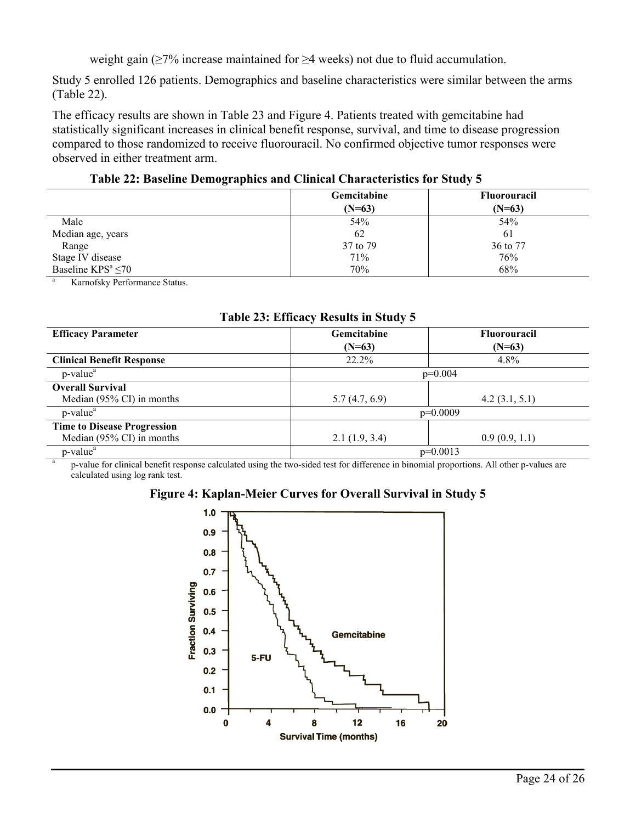weight gain (≥7% increase maintained for ≥4 weeks) not due to fluid accumulation.

Study 5 enrolled 126 patients. Demographics and baseline characteristics were similar between the arms (Table 22).

The efficacy results are shown in Table 23 and Figure 4. Patients treated with gemcitabine had statistically significant increases in clinical benefit response, survival, and time to disease progression compared to those randomized to receive fluorouracil. No confirmed objective tumor responses were observed in either treatment arm.

**Table 22: Baseline Demographics and Clinical Characteristics for Study 5**

|                          | Gemcitabine | <b>Fluorouracil</b> |
|--------------------------|-------------|---------------------|
|                          | $(N=63)$    | $(N=63)$            |
| Male                     | 54%         | 54%                 |
| Median age, years        | 62          | 61                  |
| Range                    | 37 to 79    | 36 to 77            |
| Stage IV disease         | 71%         | 76%                 |
| Baseline $KPS^a \leq 70$ | 70%         | 68%                 |

Karnofsky Performance Status.

| Table 23: Efficacy Results in Study 5 |               |                     |  |  |
|---------------------------------------|---------------|---------------------|--|--|
| <b>Efficacy Parameter</b>             | Gemcitabine   | <b>Fluorouracil</b> |  |  |
|                                       | $(N=63)$      | $(N=63)$            |  |  |
| <b>Clinical Benefit Response</b>      | $22.2\%$      | 4.8%                |  |  |
| $p$ -value <sup>a</sup>               |               | $p=0.004$           |  |  |
| <b>Overall Survival</b>               |               |                     |  |  |
| Median $(95\% \text{ CI})$ in months  | 5.7(4.7, 6.9) | 4.2(3.1, 5.1)       |  |  |
| $p$ -value <sup><math>a</math></sup>  |               | $p=0.0009$          |  |  |
| <b>Time to Disease Progression</b>    |               |                     |  |  |
| Median $(95\% \text{ CI})$ in months  | 2.1(1.9, 3.4) | 0.9(0.9, 1.1)       |  |  |
| p-value <sup>a</sup>                  |               | $p=0.0013$          |  |  |

**Table 23: Efficacy Results in Study 5**

a p-value for clinical benefit response calculated using the two-sided test for difference in binomial proportions. All other p-values are calculated using log rank test.



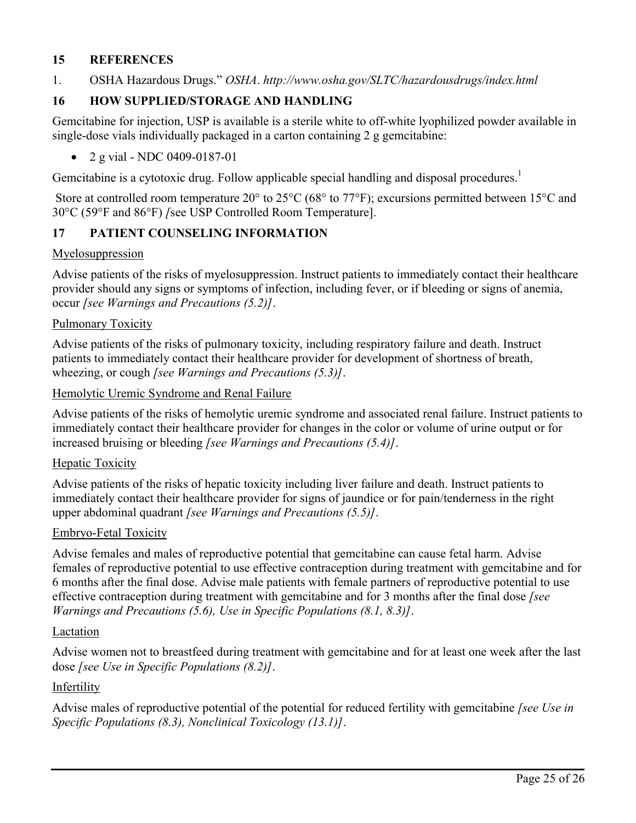## **15 REFERENCES**

1. OSHA Hazardous Drugs." *OSHA*. *http://www.osha.gov/SLTC/hazardousdrugs/index.html*

# **16 HOW SUPPLIED/STORAGE AND HANDLING**

Gemcitabine for injection, USP is available is a sterile white to off-white lyophilized powder available in single-dose vials individually packaged in a carton containing 2 g gemcitabine:

• 2 g vial - NDC 0409-0187-01

Gemcitabine is a cytotoxic drug. Follow applicable special handling and disposal procedures.<sup>1</sup>

Store at controlled room temperature 20° to 25°C (68° to 77°F); excursions permitted between 15°C and 30°C (59°F and 86°F) *[*see USP Controlled Room Temperature].

## **17 PATIENT COUNSELING INFORMATION**

### Myelosuppression

Advise patients of the risks of myelosuppression. Instruct patients to immediately contact their healthcare provider should any signs or symptoms of infection, including fever, or if bleeding or signs of anemia, occur *[see Warnings and Precautions (5.2)]*.

### Pulmonary Toxicity

Advise patients of the risks of pulmonary toxicity, including respiratory failure and death. Instruct patients to immediately contact their healthcare provider for development of shortness of breath, wheezing, or cough *[see Warnings and Precautions (5.3)]*.

### Hemolytic Uremic Syndrome and Renal Failure

Advise patients of the risks of hemolytic uremic syndrome and associated renal failure. Instruct patients to immediately contact their healthcare provider for changes in the color or volume of urine output or for increased bruising or bleeding *[see Warnings and Precautions (5.4)]*.

### **Hepatic Toxicity**

Advise patients of the risks of hepatic toxicity including liver failure and death. Instruct patients to immediately contact their healthcare provider for signs of jaundice or for pain/tenderness in the right upper abdominal quadrant *[see Warnings and Precautions (5.5)]*.

### Embryo-Fetal Toxicity

Advise females and males of reproductive potential that gemcitabine can cause fetal harm. Advise females of reproductive potential to use effective contraception during treatment with gemcitabine and for 6 months after the final dose. Advise male patients with female partners of reproductive potential to use effective contraception during treatment with gemcitabine and for 3 months after the final dose *[see Warnings and Precautions (5.6), Use in Specific Populations (8.1, 8.3)]*.

### **Lactation**

Advise women not to breastfeed during treatment with gemcitabine and for at least one week after the last dose *[see Use in Specific Populations (8.2)]*.

## Infertility

Advise males of reproductive potential of the potential for reduced fertility with gemcitabine *[see Use in Specific Populations (8.3), Nonclinical Toxicology (13.1)]*.